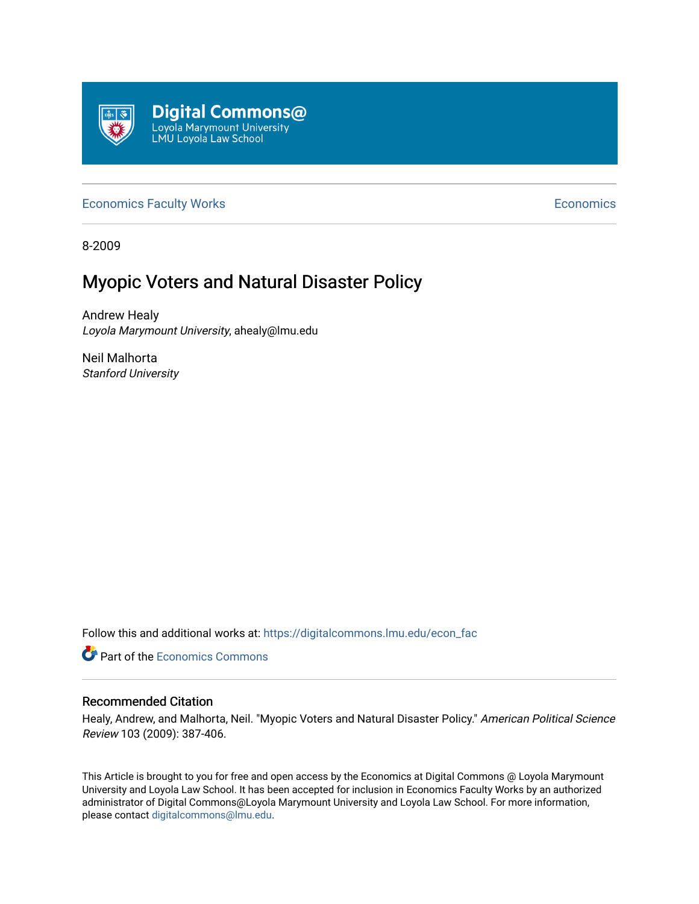

# [Economics Faculty Works](https://digitalcommons.lmu.edu/econ_fac) **Economics** Faculty Works **Economics**

8-2009

# Myopic Voters and Natural Disaster Policy

Andrew Healy Loyola Marymount University, ahealy@lmu.edu

Neil Malhorta Stanford University

Follow this and additional works at: [https://digitalcommons.lmu.edu/econ\\_fac](https://digitalcommons.lmu.edu/econ_fac?utm_source=digitalcommons.lmu.edu%2Fecon_fac%2F4&utm_medium=PDF&utm_campaign=PDFCoverPages)

**C** Part of the [Economics Commons](http://network.bepress.com/hgg/discipline/340?utm_source=digitalcommons.lmu.edu%2Fecon_fac%2F4&utm_medium=PDF&utm_campaign=PDFCoverPages)

# Recommended Citation

Healy, Andrew, and Malhorta, Neil. "Myopic Voters and Natural Disaster Policy." American Political Science Review 103 (2009): 387-406.

This Article is brought to you for free and open access by the Economics at Digital Commons @ Loyola Marymount University and Loyola Law School. It has been accepted for inclusion in Economics Faculty Works by an authorized administrator of Digital Commons@Loyola Marymount University and Loyola Law School. For more information, please contact [digitalcommons@lmu.edu](mailto:digitalcommons@lmu.edu).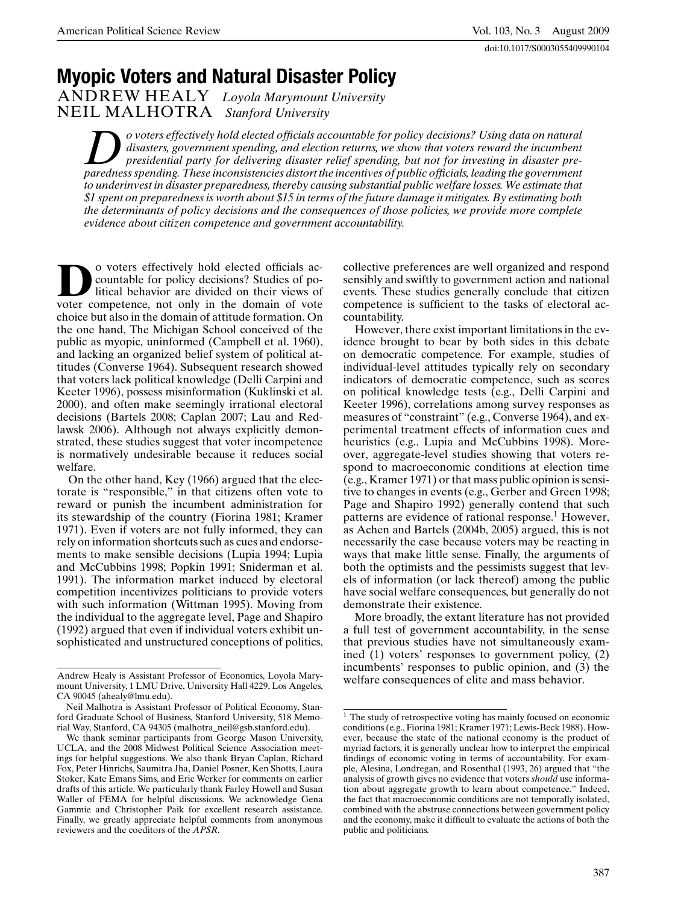doi:10.1017/S0003055409990104

# **Myopic Voters and Natural Disaster Policy** ANDREW HEALY *Loyola Marymount University* NEIL MALHOTRA *Stanford University*

 $\sum o\text{ voters effectively hold elected officials accountable for policy decisions? Using data on natural  
dissaters, government spending, and election returns, we show that voters reward the incumbent  
presidental party for delivering disaster relief spending, but not for investing in disaster pre-  
paredness spending. These inconsistencies distort the incentives of public officials, leading the government$ *disasters, government spending, and election returns, we show that voters reward the incumbent presidential party for delivering disaster relief spending, but not for investing in disaster preparedness spending. These inconsistencies distort the incentives of public officials, leading the government to underinvest in disaster preparedness, thereby causing substantial public welfare losses. We estimate that \$1 spent on preparedness is worth about \$15 in terms of the future damage it mitigates. By estimating both the determinants of policy decisions and the consequences of those policies, we provide more complete evidence about citizen competence and government accountability.*

**D**o voters effectively hold elected officials accountable for policy decisions? Studies of political behavior are divided on their views of voter competence, not only in the domain of vote choice but also in the domain of attitude formation. On the one hand, The Michigan School conceived of the public as myopic, uninformed (Campbell et al. 1960), and lacking an organized belief system of political attitudes (Converse 1964). Subsequent research showed that voters lack political knowledge (Delli Carpini and Keeter 1996), possess misinformation (Kuklinski et al. 2000), and often make seemingly irrational electoral decisions (Bartels 2008; Caplan 2007; Lau and Redlawsk 2006). Although not always explicitly demonstrated, these studies suggest that voter incompetence is normatively undesirable because it reduces social welfare.

On the other hand, Key (1966) argued that the electorate is "responsible," in that citizens often vote to reward or punish the incumbent administration for its stewardship of the country (Fiorina 1981; Kramer 1971). Even if voters are not fully informed, they can rely on information shortcuts such as cues and endorsements to make sensible decisions (Lupia 1994; Lupia and McCubbins 1998; Popkin 1991; Sniderman et al. 1991). The information market induced by electoral competition incentivizes politicians to provide voters with such information (Wittman 1995). Moving from the individual to the aggregate level, Page and Shapiro (1992) argued that even if individual voters exhibit unsophisticated and unstructured conceptions of politics, collective preferences are well organized and respond sensibly and swiftly to government action and national events. These studies generally conclude that citizen competence is sufficient to the tasks of electoral accountability.

However, there exist important limitations in the evidence brought to bear by both sides in this debate on democratic competence. For example, studies of individual-level attitudes typically rely on secondary indicators of democratic competence, such as scores on political knowledge tests (e.g., Delli Carpini and Keeter 1996), correlations among survey responses as measures of "constraint" (e.g., Converse 1964), and experimental treatment effects of information cues and heuristics (e.g., Lupia and McCubbins 1998). Moreover, aggregate-level studies showing that voters respond to macroeconomic conditions at election time (e.g., Kramer 1971) or that mass public opinion is sensitive to changes in events (e.g., Gerber and Green 1998; Page and Shapiro 1992) generally contend that such patterns are evidence of rational response.<sup>1</sup> However, as Achen and Bartels (2004b, 2005) argued, this is not necessarily the case because voters may be reacting in ways that make little sense. Finally, the arguments of both the optimists and the pessimists suggest that levels of information (or lack thereof) among the public have social welfare consequences, but generally do not demonstrate their existence.

More broadly, the extant literature has not provided a full test of government accountability, in the sense that previous studies have not simultaneously examined (1) voters' responses to government policy, (2) incumbents' responses to public opinion, and (3) the welfare consequences of elite and mass behavior.

Andrew Healy is Assistant Professor of Economics, Loyola Marymount University, 1 LMU Drive, University Hall 4229, Los Angeles, CA 90045 (ahealy@lmu.edu).

Neil Malhotra is Assistant Professor of Political Economy, Stanford Graduate School of Business, Stanford University, 518 Memorial Way, Stanford, CA 94305 (malhotra\_neil@gsb.stanford.edu).

We thank seminar participants from George Mason University, UCLA, and the 2008 Midwest Political Science Association meetings for helpful suggestions. We also thank Bryan Caplan, Richard Fox, Peter Hinrichs, Saumitra Jha, Daniel Posner, Ken Shotts, Laura Stoker, Kate Emans Sims, and Eric Werker for comments on earlier drafts of this article. We particularly thank Farley Howell and Susan Waller of FEMA for helpful discussions. We acknowledge Gena Gammie and Christopher Paik for excellent research assistance. Finally, we greatly appreciate helpful comments from anonymous reviewers and the coeditors of the *APSR*.

<sup>&</sup>lt;sup>1</sup> The study of retrospective voting has mainly focused on economic conditions (e.g., Fiorina 1981; Kramer 1971; Lewis-Beck 1988). However, because the state of the national economy is the product of myriad factors, it is generally unclear how to interpret the empirical findings of economic voting in terms of accountability. For example, Alesina, Londregan, and Rosenthal (1993, 26) argued that "the analysis of growth gives no evidence that voters *should* use information about aggregate growth to learn about competence." Indeed, the fact that macroeconomic conditions are not temporally isolated, combined with the abstruse connections between government policy and the economy, make it difficult to evaluate the actions of both the public and politicians.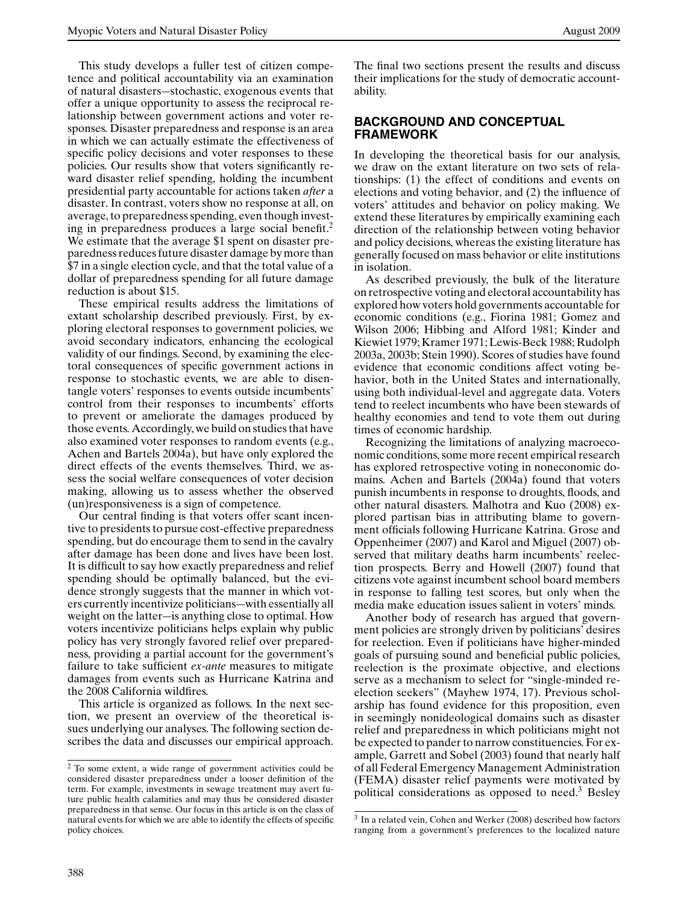This study develops a fuller test of citizen competence and political accountability via an examination of natural disasters—stochastic, exogenous events that offer a unique opportunity to assess the reciprocal relationship between government actions and voter responses. Disaster preparedness and response is an area in which we can actually estimate the effectiveness of specific policy decisions and voter responses to these policies. Our results show that voters significantly reward disaster relief spending, holding the incumbent presidential party accountable for actions taken *after* a disaster. In contrast, voters show no response at all, on average, to preparedness spending, even though investing in preparedness produces a large social benefit.2 We estimate that the average \$1 spent on disaster preparedness reduces future disaster damage by more than \$7 in a single election cycle, and that the total value of a dollar of preparedness spending for all future damage reduction is about \$15.

These empirical results address the limitations of extant scholarship described previously. First, by exploring electoral responses to government policies, we avoid secondary indicators, enhancing the ecological validity of our findings. Second, by examining the electoral consequences of specific government actions in response to stochastic events, we are able to disentangle voters' responses to events outside incumbents' control from their responses to incumbents' efforts to prevent or ameliorate the damages produced by those events. Accordingly, we build on studies that have also examined voter responses to random events (e.g., Achen and Bartels 2004a), but have only explored the direct effects of the events themselves. Third, we assess the social welfare consequences of voter decision making, allowing us to assess whether the observed (un)responsiveness is a sign of competence.

Our central finding is that voters offer scant incentive to presidents to pursue cost-effective preparedness spending, but do encourage them to send in the cavalry after damage has been done and lives have been lost. It is difficult to say how exactly preparedness and relief spending should be optimally balanced, but the evidence strongly suggests that the manner in which voters currently incentivize politicians—with essentially all weight on the latter—is anything close to optimal. How voters incentivize politicians helps explain why public policy has very strongly favored relief over preparedness, providing a partial account for the government's failure to take sufficient *ex-ante* measures to mitigate damages from events such as Hurricane Katrina and the 2008 California wildfires.

This article is organized as follows. In the next section, we present an overview of the theoretical issues underlying our analyses. The following section describes the data and discusses our empirical approach. The final two sections present the results and discuss their implications for the study of democratic accountability.

#### **BACKGROUND AND CONCEPTUAL FRAMEWORK**

In developing the theoretical basis for our analysis, we draw on the extant literature on two sets of relationships: (1) the effect of conditions and events on elections and voting behavior, and (2) the influence of voters' attitudes and behavior on policy making. We extend these literatures by empirically examining each direction of the relationship between voting behavior and policy decisions, whereas the existing literature has generally focused on mass behavior or elite institutions in isolation.

As described previously, the bulk of the literature on retrospective voting and electoral accountability has explored how voters hold governments accountable for economic conditions (e.g., Fiorina 1981; Gomez and Wilson 2006; Hibbing and Alford 1981; Kinder and Kiewiet 1979; Kramer 1971; Lewis-Beck 1988; Rudolph 2003a, 2003b; Stein 1990). Scores of studies have found evidence that economic conditions affect voting behavior, both in the United States and internationally, using both individual-level and aggregate data. Voters tend to reelect incumbents who have been stewards of healthy economies and tend to vote them out during times of economic hardship.

Recognizing the limitations of analyzing macroeconomic conditions, some more recent empirical research has explored retrospective voting in noneconomic domains. Achen and Bartels (2004a) found that voters punish incumbents in response to droughts, floods, and other natural disasters. Malhotra and Kuo (2008) explored partisan bias in attributing blame to government officials following Hurricane Katrina. Grose and Oppenheimer (2007) and Karol and Miguel (2007) observed that military deaths harm incumbents' reelection prospects. Berry and Howell (2007) found that citizens vote against incumbent school board members in response to falling test scores, but only when the media make education issues salient in voters' minds.

Another body of research has argued that government policies are strongly driven by politicians' desires for reelection. Even if politicians have higher-minded goals of pursuing sound and beneficial public policies, reelection is the proximate objective, and elections serve as a mechanism to select for "single-minded reelection seekers" (Mayhew 1974, 17). Previous scholarship has found evidence for this proposition, even in seemingly nonideological domains such as disaster relief and preparedness in which politicians might not be expected to pander to narrow constituencies. For example, Garrett and Sobel (2003) found that nearly half of all Federal Emergency Management Administration (FEMA) disaster relief payments were motivated by political considerations as opposed to need.<sup>3</sup> Besley

<sup>2</sup> To some extent, a wide range of government activities could be considered disaster preparedness under a looser definition of the term. For example, investments in sewage treatment may avert future public health calamities and may thus be considered disaster preparedness in that sense. Our focus in this article is on the class of natural events for which we are able to identify the effects of specific policy choices.

 $3 \text{ In a related vein}$ , Cohen and Werker (2008) described how factors ranging from a government's preferences to the localized nature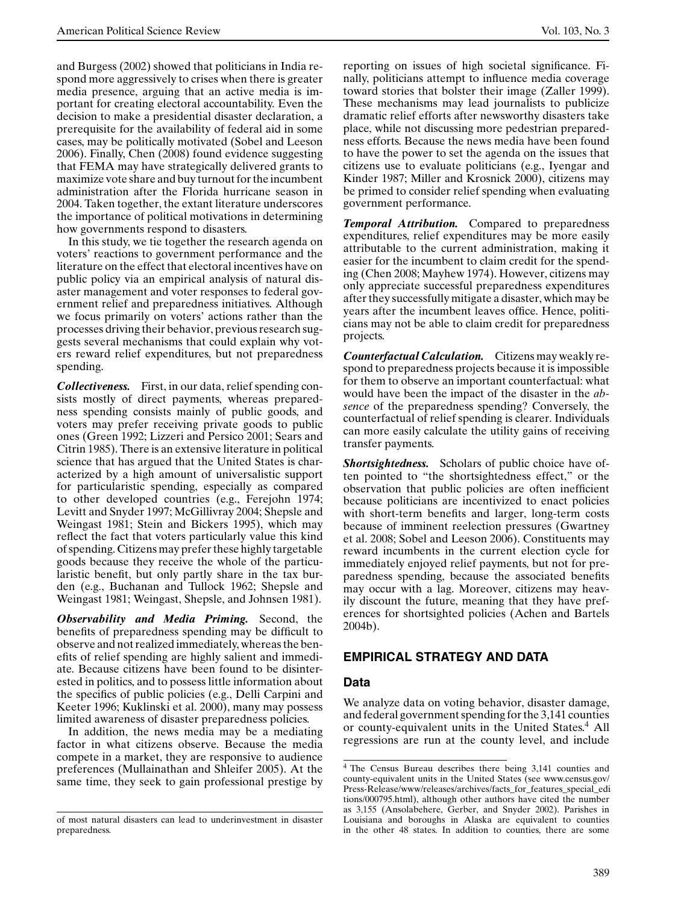and Burgess (2002) showed that politicians in India respond more aggressively to crises when there is greater media presence, arguing that an active media is important for creating electoral accountability. Even the decision to make a presidential disaster declaration, a prerequisite for the availability of federal aid in some cases, may be politically motivated (Sobel and Leeson 2006). Finally, Chen (2008) found evidence suggesting that FEMA may have strategically delivered grants to maximize vote share and buy turnout for the incumbent administration after the Florida hurricane season in 2004. Taken together, the extant literature underscores the importance of political motivations in determining how governments respond to disasters.

In this study, we tie together the research agenda on voters' reactions to government performance and the literature on the effect that electoral incentives have on public policy via an empirical analysis of natural disaster management and voter responses to federal government relief and preparedness initiatives. Although we focus primarily on voters' actions rather than the processes driving their behavior, previous research suggests several mechanisms that could explain why voters reward relief expenditures, but not preparedness spending.

*Collectiveness.* First, in our data, relief spending consists mostly of direct payments, whereas preparedness spending consists mainly of public goods, and voters may prefer receiving private goods to public ones (Green 1992; Lizzeri and Persico 2001; Sears and Citrin 1985). There is an extensive literature in political science that has argued that the United States is characterized by a high amount of universalistic support for particularistic spending, especially as compared to other developed countries (e.g., Ferejohn 1974; Levitt and Snyder 1997; McGillivray 2004; Shepsle and Weingast 1981; Stein and Bickers 1995), which may reflect the fact that voters particularly value this kind of spending. Citizens may prefer these highly targetable goods because they receive the whole of the particularistic benefit, but only partly share in the tax burden (e.g., Buchanan and Tullock 1962; Shepsle and Weingast 1981; Weingast, Shepsle, and Johnsen 1981).

*Observability and Media Priming.* Second, the benefits of preparedness spending may be difficult to observe and not realized immediately, whereas the benefits of relief spending are highly salient and immediate. Because citizens have been found to be disinterested in politics, and to possess little information about the specifics of public policies (e.g., Delli Carpini and Keeter 1996; Kuklinski et al. 2000), many may possess limited awareness of disaster preparedness policies.

In addition, the news media may be a mediating factor in what citizens observe. Because the media compete in a market, they are responsive to audience preferences (Mullainathan and Shleifer 2005). At the same time, they seek to gain professional prestige by

reporting on issues of high societal significance. Finally, politicians attempt to influence media coverage toward stories that bolster their image (Zaller 1999). These mechanisms may lead journalists to publicize dramatic relief efforts after newsworthy disasters take place, while not discussing more pedestrian preparedness efforts. Because the news media have been found to have the power to set the agenda on the issues that citizens use to evaluate politicians (e.g., Iyengar and Kinder 1987; Miller and Krosnick 2000), citizens may be primed to consider relief spending when evaluating government performance.

*Temporal Attribution.* Compared to preparedness expenditures, relief expenditures may be more easily attributable to the current administration, making it easier for the incumbent to claim credit for the spending (Chen 2008; Mayhew 1974). However, citizens may only appreciate successful preparedness expenditures after they successfully mitigate a disaster, which may be years after the incumbent leaves office. Hence, politicians may not be able to claim credit for preparedness projects.

*Counterfactual Calculation.* Citizens may weakly respond to preparedness projects because it is impossible for them to observe an important counterfactual: what would have been the impact of the disaster in the *absence* of the preparedness spending? Conversely, the counterfactual of relief spending is clearer. Individuals can more easily calculate the utility gains of receiving transfer payments.

*Shortsightedness.* Scholars of public choice have often pointed to "the shortsightedness effect," or the observation that public policies are often inefficient because politicians are incentivized to enact policies with short-term benefits and larger, long-term costs because of imminent reelection pressures (Gwartney et al. 2008; Sobel and Leeson 2006). Constituents may reward incumbents in the current election cycle for immediately enjoyed relief payments, but not for preparedness spending, because the associated benefits may occur with a lag. Moreover, citizens may heavily discount the future, meaning that they have preferences for shortsighted policies (Achen and Bartels 2004b).

# **EMPIRICAL STRATEGY AND DATA**

#### **Data**

We analyze data on voting behavior, disaster damage, and federal government spending for the 3,141 counties or county-equivalent units in the United States.<sup>4</sup> All regressions are run at the county level, and include

of most natural disasters can lead to underinvestment in disaster preparedness.

<sup>4</sup> The Census Bureau describes there being 3,141 counties and county-equivalent units in the United States (see www.census.gov/ Press-Release/www/releases/archives/facts\_for\_features\_special\_edi tions/000795.html), although other authors have cited the number as 3,155 (Ansolabehere, Gerber, and Snyder 2002). Parishes in Louisiana and boroughs in Alaska are equivalent to counties in the other 48 states. In addition to counties, there are some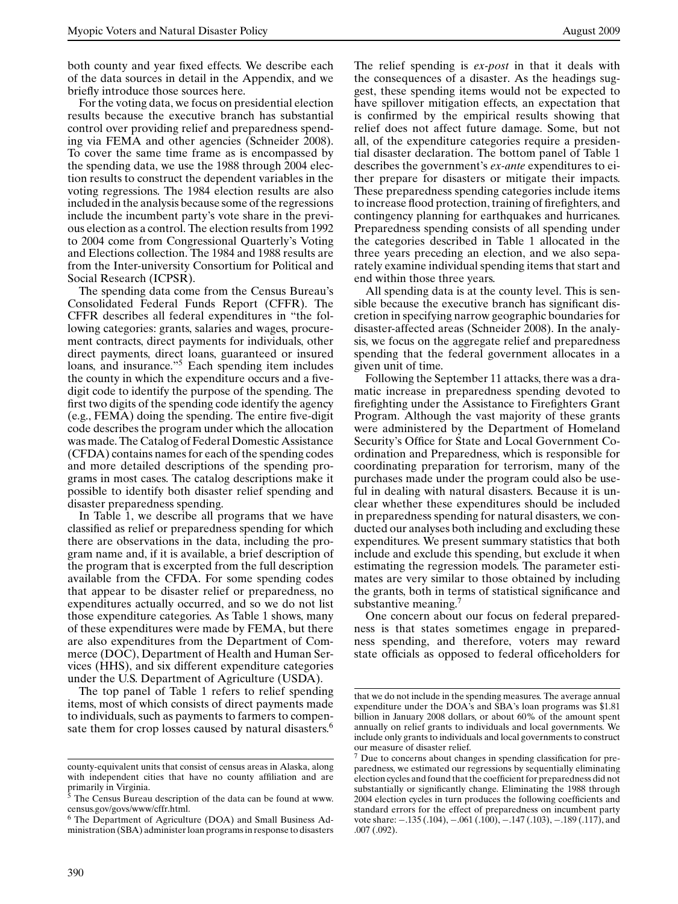both county and year fixed effects. We describe each of the data sources in detail in the Appendix, and we briefly introduce those sources here.

For the voting data, we focus on presidential election results because the executive branch has substantial control over providing relief and preparedness spending via FEMA and other agencies (Schneider 2008). To cover the same time frame as is encompassed by the spending data, we use the 1988 through 2004 election results to construct the dependent variables in the voting regressions. The 1984 election results are also included in the analysis because some of the regressions include the incumbent party's vote share in the previous election as a control. The election results from 1992 to 2004 come from Congressional Quarterly's Voting and Elections collection. The 1984 and 1988 results are from the Inter-university Consortium for Political and Social Research (ICPSR).

The spending data come from the Census Bureau's Consolidated Federal Funds Report (CFFR). The CFFR describes all federal expenditures in "the following categories: grants, salaries and wages, procurement contracts, direct payments for individuals, other direct payments, direct loans, guaranteed or insured loans, and insurance."5 Each spending item includes the county in which the expenditure occurs and a fivedigit code to identify the purpose of the spending. The first two digits of the spending code identify the agency (e.g., FEMA) doing the spending. The entire five-digit code describes the program under which the allocation was made. The Catalog of Federal Domestic Assistance (CFDA) contains names for each of the spending codes and more detailed descriptions of the spending programs in most cases. The catalog descriptions make it possible to identify both disaster relief spending and disaster preparedness spending.

In Table 1, we describe all programs that we have classified as relief or preparedness spending for which there are observations in the data, including the program name and, if it is available, a brief description of the program that is excerpted from the full description available from the CFDA. For some spending codes that appear to be disaster relief or preparedness, no expenditures actually occurred, and so we do not list those expenditure categories. As Table 1 shows, many of these expenditures were made by FEMA, but there are also expenditures from the Department of Commerce (DOC), Department of Health and Human Services (HHS), and six different expenditure categories under the U.S. Department of Agriculture (USDA).

The top panel of Table 1 refers to relief spending items, most of which consists of direct payments made to individuals, such as payments to farmers to compensate them for crop losses caused by natural disasters.<sup>6</sup>

The relief spending is *ex-post* in that it deals with the consequences of a disaster. As the headings suggest, these spending items would not be expected to have spillover mitigation effects, an expectation that is confirmed by the empirical results showing that relief does not affect future damage. Some, but not all, of the expenditure categories require a presidential disaster declaration. The bottom panel of Table 1 describes the government's *ex-ante* expenditures to either prepare for disasters or mitigate their impacts. These preparedness spending categories include items to increase flood protection, training of firefighters, and contingency planning for earthquakes and hurricanes. Preparedness spending consists of all spending under the categories described in Table 1 allocated in the

end within those three years. All spending data is at the county level. This is sensible because the executive branch has significant discretion in specifying narrow geographic boundaries for disaster-affected areas (Schneider 2008). In the analysis, we focus on the aggregate relief and preparedness spending that the federal government allocates in a given unit of time.

three years preceding an election, and we also separately examine individual spending items that start and

Following the September 11 attacks, there was a dramatic increase in preparedness spending devoted to firefighting under the Assistance to Firefighters Grant Program. Although the vast majority of these grants were administered by the Department of Homeland Security's Office for State and Local Government Coordination and Preparedness, which is responsible for coordinating preparation for terrorism, many of the purchases made under the program could also be useful in dealing with natural disasters. Because it is unclear whether these expenditures should be included in preparedness spending for natural disasters, we conducted our analyses both including and excluding these expenditures. We present summary statistics that both include and exclude this spending, but exclude it when estimating the regression models. The parameter estimates are very similar to those obtained by including the grants, both in terms of statistical significance and substantive meaning.

One concern about our focus on federal preparedness is that states sometimes engage in preparedness spending, and therefore, voters may reward state officials as opposed to federal officeholders for

county-equivalent units that consist of census areas in Alaska, along with independent cities that have no county affiliation and are primarily in Virginia.

<sup>5</sup> The Census Bureau description of the data can be found at www. census.gov/govs/www/cffr.html.

<sup>6</sup> The Department of Agriculture (DOA) and Small Business Administration (SBA) administer loan programs in response to disasters

that we do not include in the spending measures. The average annual expenditure under the DOA's and SBA's loan programs was \$1.81 billion in January 2008 dollars, or about 60% of the amount spent annually on relief grants to individuals and local governments. We include only grants to individuals and local governments to construct our measure of disaster relief.

<sup>7</sup> Due to concerns about changes in spending classification for preparedness, we estimated our regressions by sequentially eliminating election cycles and found that the coefficient for preparedness did not substantially or significantly change. Eliminating the 1988 through 2004 election cycles in turn produces the following coefficients and standard errors for the effect of preparedness on incumbent party vote share: −.135 (.104), −.061 (.100), −.147 (.103), −.189 (.117), and .007 (.092).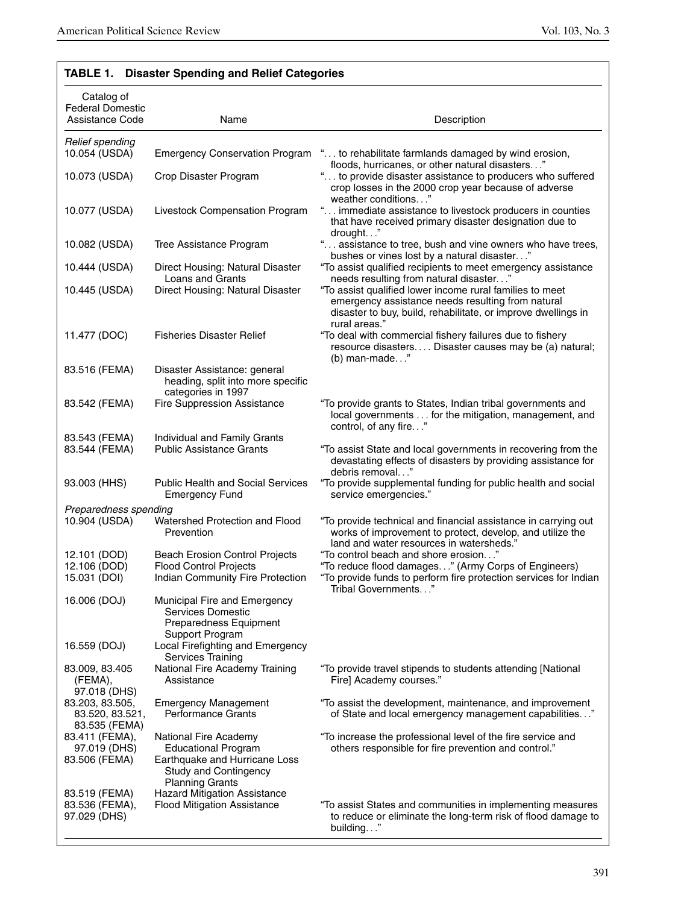# **TABLE 1. Disaster Spending and Relief Categories**

| Catalog of<br><b>Federal Domestic</b><br>Assistance Code | Name                                                                                                                                           | Description                                                                                                                                                                                     |
|----------------------------------------------------------|------------------------------------------------------------------------------------------------------------------------------------------------|-------------------------------------------------------------------------------------------------------------------------------------------------------------------------------------------------|
| Relief spending                                          |                                                                                                                                                |                                                                                                                                                                                                 |
| 10.054 (USDA)                                            | <b>Emergency Conservation Program</b>                                                                                                          | " to rehabilitate farmlands damaged by wind erosion,<br>floods, hurricanes, or other natural disasters"                                                                                         |
| 10.073 (USDA)                                            | Crop Disaster Program                                                                                                                          | " to provide disaster assistance to producers who suffered<br>crop losses in the 2000 crop year because of adverse<br>weather conditions"                                                       |
| 10.077 (USDA)                                            | Livestock Compensation Program                                                                                                                 | " immediate assistance to livestock producers in counties<br>that have received primary disaster designation due to<br>drought"                                                                 |
| 10.082 (USDA)                                            | Tree Assistance Program                                                                                                                        | " assistance to tree, bush and vine owners who have trees,<br>bushes or vines lost by a natural disaster"                                                                                       |
| 10.444 (USDA)                                            | Direct Housing: Natural Disaster<br><b>Loans and Grants</b>                                                                                    | "To assist qualified recipients to meet emergency assistance<br>needs resulting from natural disaster"                                                                                          |
| 10.445 (USDA)                                            | Direct Housing: Natural Disaster                                                                                                               | "To assist qualified lower income rural families to meet<br>emergency assistance needs resulting from natural<br>disaster to buy, build, rehabilitate, or improve dwellings in<br>rural areas." |
| 11.477 (DOC)                                             | <b>Fisheries Disaster Relief</b>                                                                                                               | "To deal with commercial fishery failures due to fishery<br>resource disasters Disaster causes may be (a) natural;<br>(b) man-made"                                                             |
| 83.516 (FEMA)                                            | Disaster Assistance: general<br>heading, split into more specific<br>categories in 1997                                                        |                                                                                                                                                                                                 |
| 83.542 (FEMA)                                            | Fire Suppression Assistance                                                                                                                    | "To provide grants to States, Indian tribal governments and<br>local governments for the mitigation, management, and<br>control, of any fire"                                                   |
| 83.543 (FEMA)<br>83.544 (FEMA)                           | Individual and Family Grants<br><b>Public Assistance Grants</b>                                                                                | "To assist State and local governments in recovering from the<br>devastating effects of disasters by providing assistance for<br>debris removal"                                                |
| 93.003 (HHS)                                             | <b>Public Health and Social Services</b><br><b>Emergency Fund</b>                                                                              | "To provide supplemental funding for public health and social<br>service emergencies."                                                                                                          |
| Preparedness spending                                    |                                                                                                                                                |                                                                                                                                                                                                 |
| 10.904 (USDA)                                            | Watershed Protection and Flood<br>Prevention                                                                                                   | "To provide technical and financial assistance in carrying out<br>works of improvement to protect, develop, and utilize the<br>land and water resources in watersheds."                         |
| 12.101 (DOD)                                             | <b>Beach Erosion Control Projects</b>                                                                                                          | "To control beach and shore erosion"                                                                                                                                                            |
| 12.106 (DOD)<br>15.031 (DOI)                             | <b>Flood Control Projects</b><br>Indian Community Fire Protection                                                                              | "To reduce flood damages" (Army Corps of Engineers)<br>"To provide funds to perform fire protection services for Indian<br>Tribal Governments"                                                  |
| 16.006 (DOJ)                                             | Municipal Fire and Emergency<br>Services Domestic<br>Preparedness Equipment<br>Support Program                                                 |                                                                                                                                                                                                 |
| 16.559 (DOJ)                                             | Local Firefighting and Emergency<br>Services Training                                                                                          |                                                                                                                                                                                                 |
| 83.009, 83.405<br>(FEMA),<br>97.018 (DHS)                | National Fire Academy Training<br>Assistance                                                                                                   | "To provide travel stipends to students attending [National<br>Fire] Academy courses."                                                                                                          |
| 83.203, 83.505,<br>83.520, 83.521,<br>83.535 (FEMA)      | <b>Emergency Management</b><br><b>Performance Grants</b>                                                                                       | "To assist the development, maintenance, and improvement<br>of State and local emergency management capabilities"                                                                               |
| 83.411 (FEMA),<br>97.019 (DHS)<br>83.506 (FEMA)          | National Fire Academy<br><b>Educational Program</b><br>Earthquake and Hurricane Loss<br><b>Study and Contingency</b><br><b>Planning Grants</b> | "To increase the professional level of the fire service and<br>others responsible for fire prevention and control."                                                                             |
| 83.519 (FEMA)<br>83.536 (FEMA),<br>97.029 (DHS)          | Hazard Mitigation Assistance<br>Flood Mitigation Assistance                                                                                    | "To assist States and communities in implementing measures<br>to reduce or eliminate the long-term risk of flood damage to<br>building"                                                         |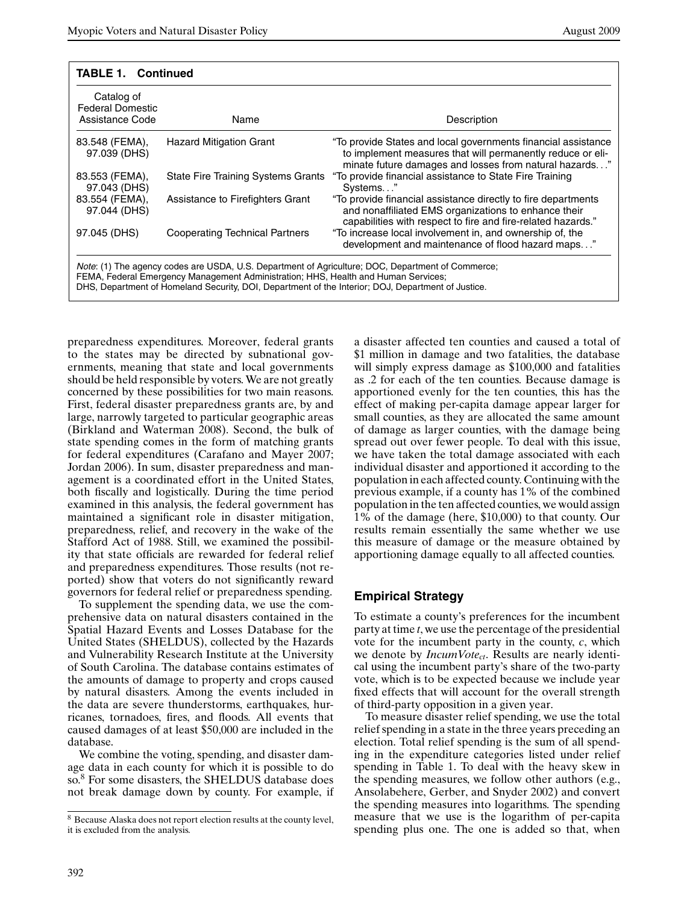| Catalog of<br><b>Federal Domestic</b><br>Assistance Code | Name                                      | Description                                                                                                                                                                           |
|----------------------------------------------------------|-------------------------------------------|---------------------------------------------------------------------------------------------------------------------------------------------------------------------------------------|
| 83.548 (FEMA),<br>97.039 (DHS)                           | <b>Hazard Mitigation Grant</b>            | "To provide States and local governments financial assistance<br>to implement measures that will permanently reduce or eli-<br>minate future damages and losses from natural hazards" |
| 83.553 (FEMA),<br>97.043 (DHS)                           | <b>State Fire Training Systems Grants</b> | "To provide financial assistance to State Fire Training<br>Systems"                                                                                                                   |
| 83.554 (FEMA),<br>97.044 (DHS)                           | Assistance to Firefighters Grant          | "To provide financial assistance directly to fire departments<br>and nonaffiliated EMS organizations to enhance their<br>capabilities with respect to fire and fire-related hazards." |
| 97.045 (DHS)                                             | <b>Cooperating Technical Partners</b>     | "To increase local involvement in, and ownership of, the<br>development and maintenance of flood hazard maps"                                                                         |

preparedness expenditures. Moreover, federal grants to the states may be directed by subnational governments, meaning that state and local governments should be held responsible by voters.We are not greatly concerned by these possibilities for two main reasons. First, federal disaster preparedness grants are, by and large, narrowly targeted to particular geographic areas (Birkland and Waterman 2008). Second, the bulk of state spending comes in the form of matching grants for federal expenditures (Carafano and Mayer 2007; Jordan 2006). In sum, disaster preparedness and management is a coordinated effort in the United States, both fiscally and logistically. During the time period examined in this analysis, the federal government has maintained a significant role in disaster mitigation, preparedness, relief, and recovery in the wake of the Stafford Act of 1988. Still, we examined the possibility that state officials are rewarded for federal relief and preparedness expenditures. Those results (not reported) show that voters do not significantly reward governors for federal relief or preparedness spending.

To supplement the spending data, we use the comprehensive data on natural disasters contained in the Spatial Hazard Events and Losses Database for the United States (SHELDUS), collected by the Hazards and Vulnerability Research Institute at the University of South Carolina. The database contains estimates of the amounts of damage to property and crops caused by natural disasters. Among the events included in the data are severe thunderstorms, earthquakes, hurricanes, tornadoes, fires, and floods. All events that caused damages of at least \$50,000 are included in the database.

We combine the voting, spending, and disaster damage data in each county for which it is possible to do so.<sup>8</sup> For some disasters, the SHELDUS database does not break damage down by county. For example, if a disaster affected ten counties and caused a total of \$1 million in damage and two fatalities, the database will simply express damage as \$100,000 and fatalities as .2 for each of the ten counties. Because damage is apportioned evenly for the ten counties, this has the effect of making per-capita damage appear larger for small counties, as they are allocated the same amount of damage as larger counties, with the damage being spread out over fewer people. To deal with this issue, we have taken the total damage associated with each individual disaster and apportioned it according to the population in each affected county. Continuing with the previous example, if a county has 1% of the combined population in the ten affected counties, we would assign 1% of the damage (here, \$10,000) to that county. Our results remain essentially the same whether we use this measure of damage or the measure obtained by apportioning damage equally to all affected counties.

# **Empirical Strategy**

To estimate a county's preferences for the incumbent party at time *t*, we use the percentage of the presidential vote for the incumbent party in the county, *c*, which we denote by *IncumVote<sub>ct</sub>*. Results are nearly identical using the incumbent party's share of the two-party vote, which is to be expected because we include year fixed effects that will account for the overall strength of third-party opposition in a given year.

To measure disaster relief spending, we use the total relief spending in a state in the three years preceding an election. Total relief spending is the sum of all spending in the expenditure categories listed under relief spending in Table 1. To deal with the heavy skew in the spending measures, we follow other authors (e.g., Ansolabehere, Gerber, and Snyder 2002) and convert the spending measures into logarithms. The spending measure that we use is the logarithm of per-capita spending plus one. The one is added so that, when

<sup>&</sup>lt;sup>8</sup> Because Alaska does not report election results at the county level, it is excluded from the analysis.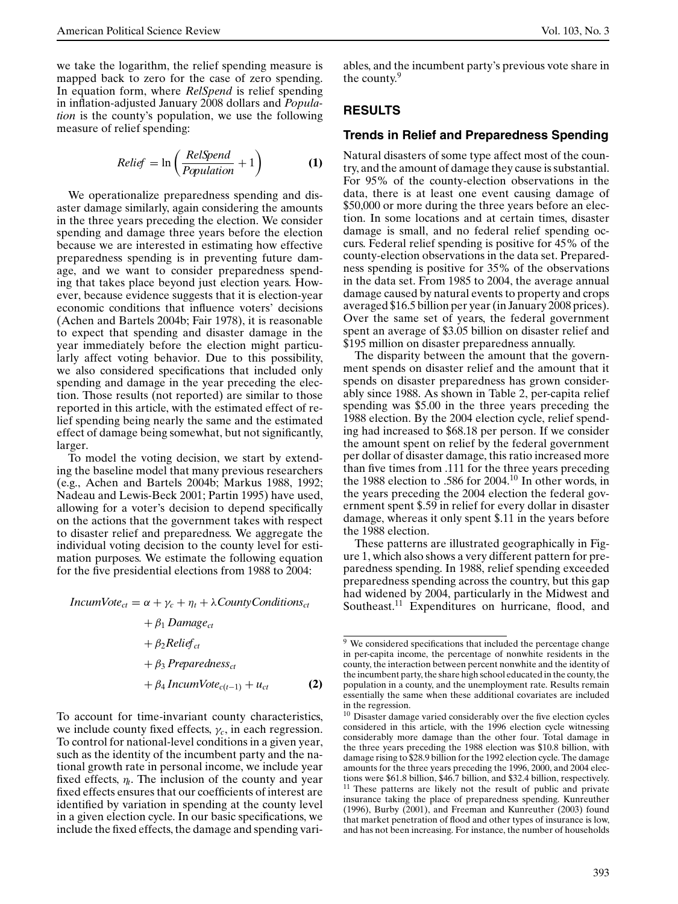we take the logarithm, the relief spending measure is mapped back to zero for the case of zero spending. In equation form, where *RelSpend* is relief spending in inflation-adjusted January 2008 dollars and *Population* is the county's population, we use the following measure of relief spending:

$$
Relief = \ln\left(\frac{RelSpend}{Population} + 1\right) \tag{1}
$$

We operationalize preparedness spending and disaster damage similarly, again considering the amounts in the three years preceding the election. We consider spending and damage three years before the election because we are interested in estimating how effective preparedness spending is in preventing future damage, and we want to consider preparedness spending that takes place beyond just election years. However, because evidence suggests that it is election-year economic conditions that influence voters' decisions (Achen and Bartels 2004b; Fair 1978), it is reasonable to expect that spending and disaster damage in the year immediately before the election might particularly affect voting behavior. Due to this possibility, we also considered specifications that included only spending and damage in the year preceding the election. Those results (not reported) are similar to those reported in this article, with the estimated effect of relief spending being nearly the same and the estimated effect of damage being somewhat, but not significantly, larger.

To model the voting decision, we start by extending the baseline model that many previous researchers (e.g., Achen and Bartels 2004b; Markus 1988, 1992; Nadeau and Lewis-Beck 2001; Partin 1995) have used, allowing for a voter's decision to depend specifically on the actions that the government takes with respect to disaster relief and preparedness. We aggregate the individual voting decision to the county level for estimation purposes. We estimate the following equation for the five presidential elections from 1988 to 2004:

$$
IncumVote_{ct} = \alpha + \gamma_c + \eta_t + \lambda CountyCondition_{ct}
$$

$$
+ \beta_1 \text{ Damage}_{ct}
$$

$$
+ \beta_2 \text{Relief}_{ct}
$$

$$
+ \beta_3 \text{ Prepare }dness_{ct}
$$

$$
+ \beta_4 \text{ IncumVote}_{c(t-1)} + u_{ct}
$$
 (2)

To account for time-invariant county characteristics, we include county fixed effects,  $\gamma_c$ , in each regression. To control for national-level conditions in a given year, such as the identity of the incumbent party and the national growth rate in personal income, we include year fixed effects, *ηt*. The inclusion of the county and year fixed effects ensures that our coefficients of interest are identified by variation in spending at the county level in a given election cycle. In our basic specifications, we include the fixed effects, the damage and spending variables, and the incumbent party's previous vote share in the county.<sup>9</sup>

#### **RESULTS**

#### **Trends in Relief and Preparedness Spending**

Natural disasters of some type affect most of the country, and the amount of damage they cause is substantial. For 95% of the county-election observations in the data, there is at least one event causing damage of \$50,000 or more during the three years before an election. In some locations and at certain times, disaster damage is small, and no federal relief spending occurs. Federal relief spending is positive for 45% of the county-election observations in the data set. Preparedness spending is positive for 35% of the observations in the data set. From 1985 to 2004, the average annual damage caused by natural events to property and crops averaged \$16.5 billion per year (in January 2008 prices). Over the same set of years, the federal government spent an average of \$3.05 billion on disaster relief and \$195 million on disaster preparedness annually.

The disparity between the amount that the government spends on disaster relief and the amount that it spends on disaster preparedness has grown considerably since 1988. As shown in Table 2, per-capita relief spending was \$5.00 in the three years preceding the 1988 election. By the 2004 election cycle, relief spending had increased to \$68.18 per person. If we consider the amount spent on relief by the federal government per dollar of disaster damage, this ratio increased more than five times from .111 for the three years preceding the 1988 election to .586 for 2004.<sup>10</sup> In other words, in the years preceding the 2004 election the federal government spent \$.59 in relief for every dollar in disaster damage, whereas it only spent \$.11 in the years before the 1988 election.

These patterns are illustrated geographically in Figure 1, which also shows a very different pattern for preparedness spending. In 1988, relief spending exceeded preparedness spending across the country, but this gap had widened by 2004, particularly in the Midwest and Southeast.<sup>11</sup> Expenditures on hurricane, flood, and

<sup>&</sup>lt;sup>9</sup> We considered specifications that included the percentage change in per-capita income, the percentage of nonwhite residents in the county, the interaction between percent nonwhite and the identity of the incumbent party, the share high school educated in the county, the population in a county, and the unemployment rate. Results remain essentially the same when these additional covariates are included in the regression.

<sup>&</sup>lt;sup>10</sup> Disaster damage varied considerably over the five election cycles considered in this article, with the 1996 election cycle witnessing considerably more damage than the other four. Total damage in the three years preceding the 1988 election was \$10.8 billion, with damage rising to \$28.9 billion for the 1992 election cycle. The damage amounts for the three years preceding the 1996, 2000, and 2004 elections were \$61.8 billion, \$46.7 billion, and \$32.4 billion, respectively. <sup>11</sup> These patterns are likely not the result of public and private insurance taking the place of preparedness spending. Kunreuther (1996), Burby (2001), and Freeman and Kunreuther (2003) found that market penetration of flood and other types of insurance is low, and has not been increasing. For instance, the number of households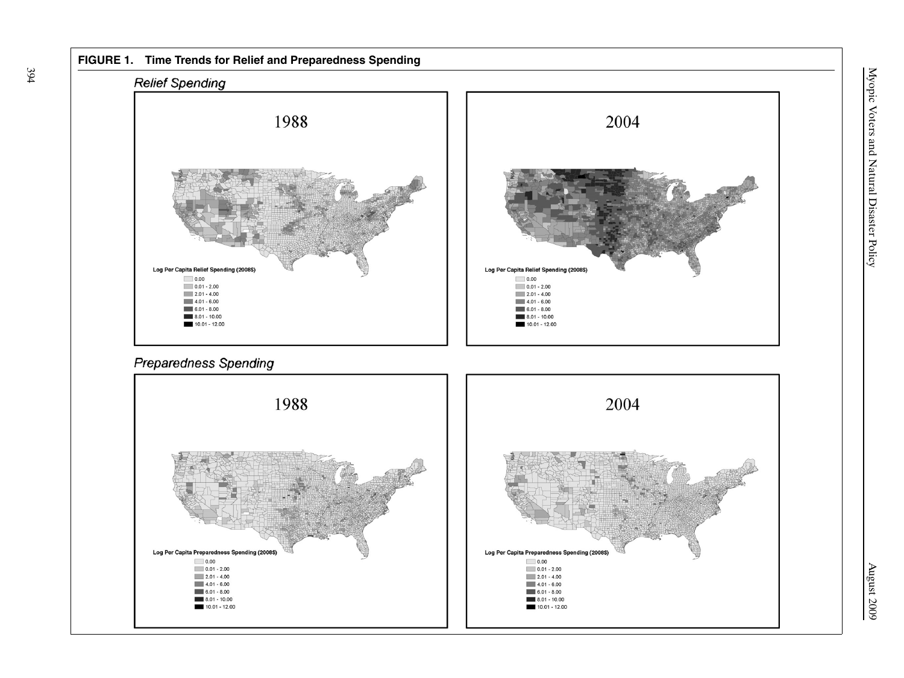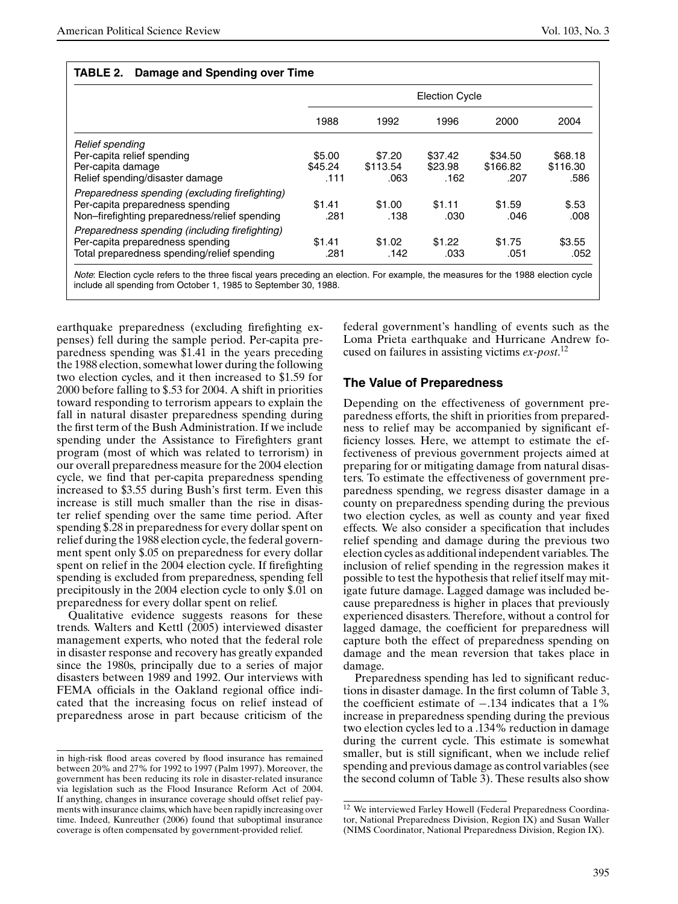#### **TABLE 2. Damage and Spending over Time**

|                                                | <b>Election Cycle</b> |          |         |          |          |  |
|------------------------------------------------|-----------------------|----------|---------|----------|----------|--|
|                                                | 1988                  | 1992     | 1996    | 2000     | 2004     |  |
| Relief spending                                |                       |          |         |          |          |  |
| Per-capita relief spending                     | \$5.00                | \$7.20   | \$37.42 | \$34.50  | \$68.18  |  |
| Per-capita damage                              | \$45.24               | \$113.54 | \$23.98 | \$166.82 | \$116.30 |  |
| Relief spending/disaster damage                | .111                  | .063     | .162    | .207     | .586     |  |
| Preparedness spending (excluding firefighting) |                       |          |         |          |          |  |
| Per-capita preparedness spending               | \$1.41                | \$1.00   | \$1.11  | \$1.59   | \$.53    |  |
| Non-firefighting preparedness/relief spending  | .281                  | .138     | .030    | .046     | .008     |  |
| Preparedness spending (including firefighting) |                       |          |         |          |          |  |
| Per-capita preparedness spending               | \$1.41                | \$1.02   | \$1.22  | \$1.75   | \$3.55   |  |
| Total preparedness spending/relief spending    | .281                  | .142     | .033    | .051     | .052     |  |

/ears preceding an election. For example, the measures for the 1988 election cy include all spending from October 1, 1985 to September 30, 1988.

earthquake preparedness (excluding firefighting expenses) fell during the sample period. Per-capita preparedness spending was \$1.41 in the years preceding the 1988 election, somewhat lower during the following two election cycles, and it then increased to \$1.59 for 2000 before falling to \$.53 for 2004. A shift in priorities toward responding to terrorism appears to explain the fall in natural disaster preparedness spending during the first term of the Bush Administration. If we include spending under the Assistance to Firefighters grant program (most of which was related to terrorism) in our overall preparedness measure for the 2004 election cycle, we find that per-capita preparedness spending increased to \$3.55 during Bush's first term. Even this increase is still much smaller than the rise in disaster relief spending over the same time period. After spending \$.28 in preparedness for every dollar spent on relief during the 1988 election cycle, the federal government spent only \$.05 on preparedness for every dollar spent on relief in the 2004 election cycle. If firefighting spending is excluded from preparedness, spending fell precipitously in the 2004 election cycle to only \$.01 on preparedness for every dollar spent on relief.

Qualitative evidence suggests reasons for these trends. Walters and Kettl (2005) interviewed disaster management experts, who noted that the federal role in disaster response and recovery has greatly expanded since the 1980s, principally due to a series of major disasters between 1989 and 1992. Our interviews with FEMA officials in the Oakland regional office indicated that the increasing focus on relief instead of preparedness arose in part because criticism of the

federal government's handling of events such as the Loma Prieta earthquake and Hurricane Andrew focused on failures in assisting victims *ex-post*. 12

#### **The Value of Preparedness**

Depending on the effectiveness of government preparedness efforts, the shift in priorities from preparedness to relief may be accompanied by significant efficiency losses. Here, we attempt to estimate the effectiveness of previous government projects aimed at preparing for or mitigating damage from natural disasters. To estimate the effectiveness of government preparedness spending, we regress disaster damage in a county on preparedness spending during the previous two election cycles, as well as county and year fixed effects. We also consider a specification that includes relief spending and damage during the previous two election cycles as additional independent variables. The inclusion of relief spending in the regression makes it possible to test the hypothesis that relief itself may mitigate future damage. Lagged damage was included because preparedness is higher in places that previously experienced disasters. Therefore, without a control for lagged damage, the coefficient for preparedness will capture both the effect of preparedness spending on damage and the mean reversion that takes place in damage.

Preparedness spending has led to significant reductions in disaster damage. In the first column of Table 3, the coefficient estimate of −.134 indicates that a 1% increase in preparedness spending during the previous two election cycles led to a .134% reduction in damage during the current cycle. This estimate is somewhat smaller, but is still significant, when we include relief spending and previous damage as control variables (see the second column of Table 3). These results also show

in high-risk flood areas covered by flood insurance has remained between 20% and 27% for 1992 to 1997 (Palm 1997). Moreover, the government has been reducing its role in disaster-related insurance via legislation such as the Flood Insurance Reform Act of 2004. If anything, changes in insurance coverage should offset relief payments with insurance claims, which have been rapidly increasing over time. Indeed, Kunreuther (2006) found that suboptimal insurance coverage is often compensated by government-provided relief.

<sup>12</sup> We interviewed Farley Howell (Federal Preparedness Coordinator, National Preparedness Division, Region IX) and Susan Waller (NIMS Coordinator, National Preparedness Division, Region IX).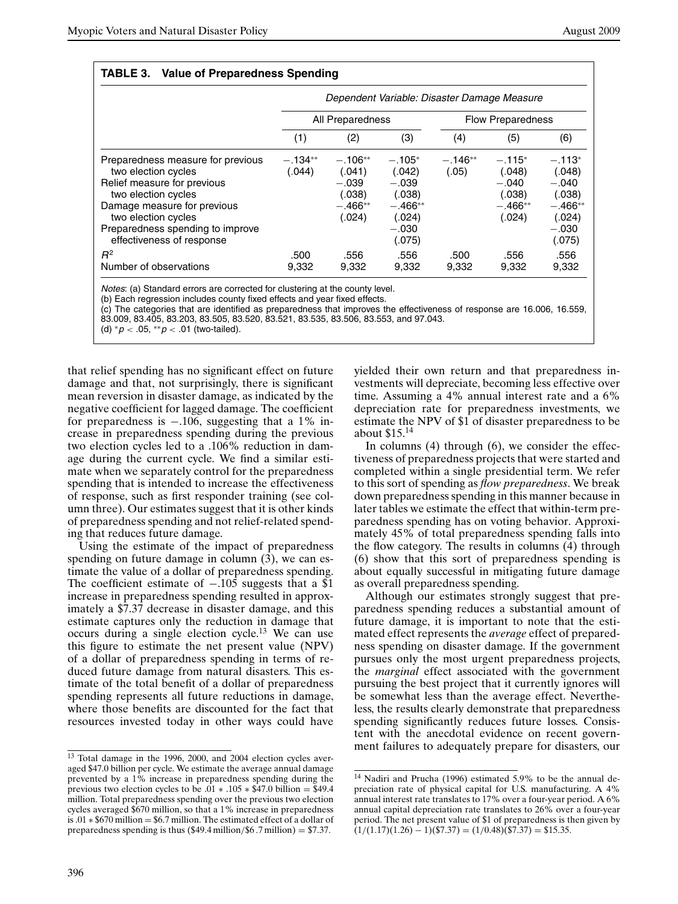|                                                                                                                                                                                                                                       | Dependent Variable: Disaster Damage Measure |                                                                 |                                                                                     |                          |                                                                |                                                                                     |  |
|---------------------------------------------------------------------------------------------------------------------------------------------------------------------------------------------------------------------------------------|---------------------------------------------|-----------------------------------------------------------------|-------------------------------------------------------------------------------------|--------------------------|----------------------------------------------------------------|-------------------------------------------------------------------------------------|--|
|                                                                                                                                                                                                                                       | All Preparedness                            |                                                                 |                                                                                     | <b>Flow Preparedness</b> |                                                                |                                                                                     |  |
|                                                                                                                                                                                                                                       | (1)                                         | (2)                                                             | (3)                                                                                 | (4)                      | (5)                                                            | (6)                                                                                 |  |
| Preparedness measure for previous<br>two election cycles<br>Relief measure for previous<br>two election cycles<br>Damage measure for previous<br>two election cycles<br>Preparedness spending to improve<br>effectiveness of response | $-.134**$<br>(.044)                         | $-.106**$<br>(.041)<br>$-.039$<br>(.038)<br>$-.466**$<br>(.024) | $-.105*$<br>(.042)<br>$-.039$<br>(.038)<br>$-.466**$<br>(.024)<br>$-.030$<br>(.075) | $-.146**$<br>(.05)       | $-.115*$<br>(.048)<br>$-.040$<br>(.038)<br>$-.466**$<br>(.024) | $-.113*$<br>(.048)<br>$-.040$<br>(.038)<br>$-.466**$<br>(.024)<br>$-.030$<br>(.075) |  |
| $R^2$<br>Number of observations                                                                                                                                                                                                       | .500<br>9,332                               | .556<br>9,332                                                   | .556<br>9,332                                                                       | .500<br>9,332            | .556<br>9,332                                                  | .556<br>9,332                                                                       |  |

Notes: (a) Standard errors are corrected for clustering at the county level.

(b) Each regression includes county fixed effects and year fixed effects.

(c) The categories that are identified as preparedness that improves the effectiveness of response are 16.006, 16.559, 83.009, 83.405, 83.203, 83.505, 83.520, 83.521, 83.535, 83.506, 83.553, and 97.043.

(d) ∗p *<* .05, ∗∗p *<* .01 (two-tailed).

that relief spending has no significant effect on future damage and that, not surprisingly, there is significant mean reversion in disaster damage, as indicated by the negative coefficient for lagged damage. The coefficient for preparedness is −.106, suggesting that a 1% increase in preparedness spending during the previous two election cycles led to a .106% reduction in damage during the current cycle. We find a similar estimate when we separately control for the preparedness spending that is intended to increase the effectiveness of response, such as first responder training (see column three). Our estimates suggest that it is other kinds of preparedness spending and not relief-related spending that reduces future damage.

Using the estimate of the impact of preparedness spending on future damage in column (3), we can estimate the value of a dollar of preparedness spending. The coefficient estimate of  $-.105$  suggests that a \$1 increase in preparedness spending resulted in approximately a \$7.37 decrease in disaster damage, and this estimate captures only the reduction in damage that occurs during a single election cycle.13 We can use this figure to estimate the net present value (NPV) of a dollar of preparedness spending in terms of reduced future damage from natural disasters. This estimate of the total benefit of a dollar of preparedness spending represents all future reductions in damage, where those benefits are discounted for the fact that resources invested today in other ways could have yielded their own return and that preparedness investments will depreciate, becoming less effective over time. Assuming a 4% annual interest rate and a 6% depreciation rate for preparedness investments, we estimate the NPV of \$1 of disaster preparedness to be about \$15.<sup>14</sup>

In columns (4) through (6), we consider the effectiveness of preparedness projects that were started and completed within a single presidential term. We refer to this sort of spending as *flow preparedness*. We break down preparedness spending in this manner because in later tables we estimate the effect that within-term preparedness spending has on voting behavior. Approximately 45% of total preparedness spending falls into the flow category. The results in columns (4) through (6) show that this sort of preparedness spending is about equally successful in mitigating future damage as overall preparedness spending.

Although our estimates strongly suggest that preparedness spending reduces a substantial amount of future damage, it is important to note that the estimated effect represents the *average* effect of preparedness spending on disaster damage. If the government pursues only the most urgent preparedness projects, the *marginal* effect associated with the government pursuing the best project that it currently ignores will be somewhat less than the average effect. Nevertheless, the results clearly demonstrate that preparedness spending significantly reduces future losses. Consistent with the anecdotal evidence on recent government failures to adequately prepare for disasters, our

<sup>13</sup> Total damage in the 1996, 2000, and 2004 election cycles averaged \$47.0 billion per cycle. We estimate the average annual damage prevented by a 1% increase in preparedness spending during the previous two election cycles to be  $.01 * .105 * $47.0$  billion = \$49.4 million. Total preparedness spending over the previous two election cycles averaged \$670 million, so that a 1% increase in preparedness is .01 ∗ \$670 million = \$6.7 million. The estimated effect of a dollar of preparedness spending is thus (\$49*.*4 million*/*\$6 *.*7 million) = \$7*.*37*.*

<sup>14</sup> Nadiri and Prucha (1996) estimated 5.9% to be the annual depreciation rate of physical capital for U.S. manufacturing. A 4% annual interest rate translates to 17% over a four-year period. A 6% annual capital depreciation rate translates to 26% over a four-year period. The net present value of \$1 of preparedness is then given by  $(1/(1.17)(1.26) - 1)(\$7.37) = (1/0.48)(\$7.37) = \$15.35.$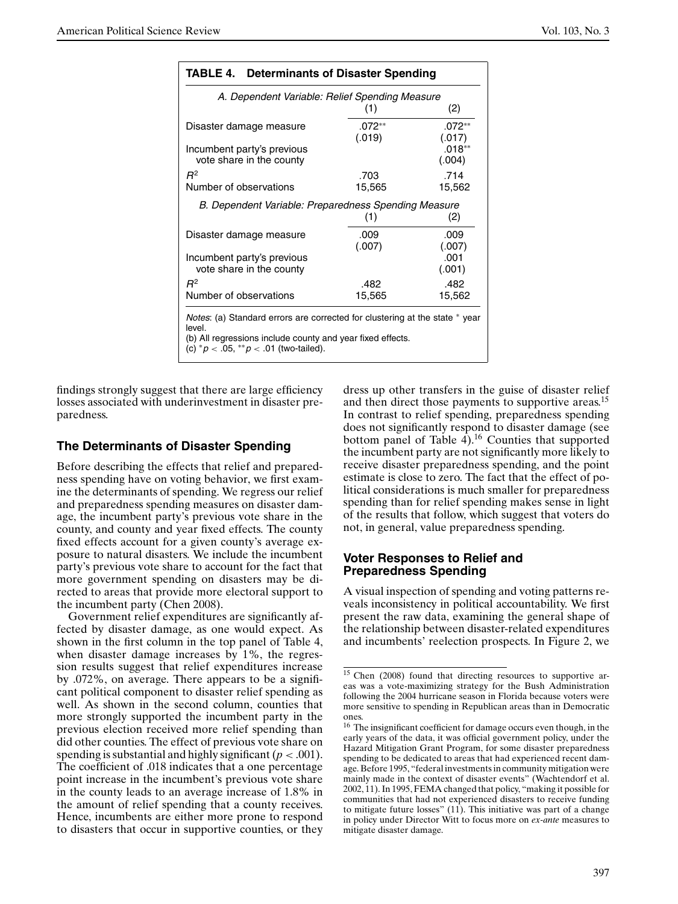| <b>Determinants of Disaster Spending</b><br>TABLE 4.                                                                                                                                                             |                    |                    |
|------------------------------------------------------------------------------------------------------------------------------------------------------------------------------------------------------------------|--------------------|--------------------|
| A. Dependent Variable: Relief Spending Measure                                                                                                                                                                   |                    |                    |
|                                                                                                                                                                                                                  | (1)                | (2)                |
| Disaster damage measure                                                                                                                                                                                          | $.072**$<br>(.019) | $.072**$<br>(.017) |
| Incumbent party's previous<br>vote share in the county                                                                                                                                                           |                    | $.018**$<br>(.004) |
| $R^2$                                                                                                                                                                                                            | .703               | .714               |
| Number of observations                                                                                                                                                                                           | 15,565             | 15,562             |
| B. Dependent Variable: Preparedness Spending Measure                                                                                                                                                             |                    |                    |
|                                                                                                                                                                                                                  | (1)                | (2)                |
| Disaster damage measure                                                                                                                                                                                          | .009<br>(.007)     | .009<br>(.007)     |
| Incumbent party's previous                                                                                                                                                                                       |                    | .001               |
| vote share in the county                                                                                                                                                                                         |                    | (.001)             |
| $R^2$                                                                                                                                                                                                            | .482               | .482               |
| Number of observations                                                                                                                                                                                           | 15,565             | 15,562             |
| <i>Notes</i> : (a) Standard errors are corrected for clustering at the state * year<br>level.<br>the contract of the contract of the contract of the contract of the contract of the contract of the contract of |                    |                    |

(b) All regressions include county and year fixed effects. (c) ∗p *<* .05, ∗∗p *<* .01 (two-tailed).

findings strongly suggest that there are large efficiency losses associated with underinvestment in disaster preparedness.

# **The Determinants of Disaster Spending**

Before describing the effects that relief and preparedness spending have on voting behavior, we first examine the determinants of spending. We regress our relief and preparedness spending measures on disaster damage, the incumbent party's previous vote share in the county, and county and year fixed effects. The county fixed effects account for a given county's average exposure to natural disasters. We include the incumbent party's previous vote share to account for the fact that more government spending on disasters may be directed to areas that provide more electoral support to the incumbent party (Chen 2008).

Government relief expenditures are significantly affected by disaster damage, as one would expect. As shown in the first column in the top panel of Table 4, when disaster damage increases by 1%, the regression results suggest that relief expenditures increase by .072%, on average. There appears to be a significant political component to disaster relief spending as well. As shown in the second column, counties that more strongly supported the incumbent party in the previous election received more relief spending than did other counties. The effect of previous vote share on spending is substantial and highly significant ( $p < .001$ ). The coefficient of .018 indicates that a one percentage point increase in the incumbent's previous vote share in the county leads to an average increase of 1.8% in the amount of relief spending that a county receives. Hence, incumbents are either more prone to respond to disasters that occur in supportive counties, or they

dress up other transfers in the guise of disaster relief and then direct those payments to supportive areas.<sup>15</sup> In contrast to relief spending, preparedness spending does not significantly respond to disaster damage (see bottom panel of Table  $4$ ).<sup>16</sup> Counties that supported the incumbent party are not significantly more likely to receive disaster preparedness spending, and the point estimate is close to zero. The fact that the effect of political considerations is much smaller for preparedness spending than for relief spending makes sense in light of the results that follow, which suggest that voters do not, in general, value preparedness spending.

### **Voter Responses to Relief and Preparedness Spending**

A visual inspection of spending and voting patterns reveals inconsistency in political accountability. We first present the raw data, examining the general shape of the relationship between disaster-related expenditures and incumbents' reelection prospects. In Figure 2, we

<sup>15</sup> Chen (2008) found that directing resources to supportive areas was a vote-maximizing strategy for the Bush Administration following the 2004 hurricane season in Florida because voters were more sensitive to spending in Republican areas than in Democratic ones.

<sup>&</sup>lt;sup>16</sup> The insignificant coefficient for damage occurs even though, in the early years of the data, it was official government policy, under the Hazard Mitigation Grant Program, for some disaster preparedness spending to be dedicated to areas that had experienced recent damage. Before 1995, "federal investments in community mitigation were mainly made in the context of disaster events" (Wachtendorf et al. 2002, 11). In 1995, FEMA changed that policy, "making it possible for communities that had not experienced disasters to receive funding to mitigate future losses" (11). This initiative was part of a change in policy under Director Witt to focus more on *ex-ante* measures to mitigate disaster damage.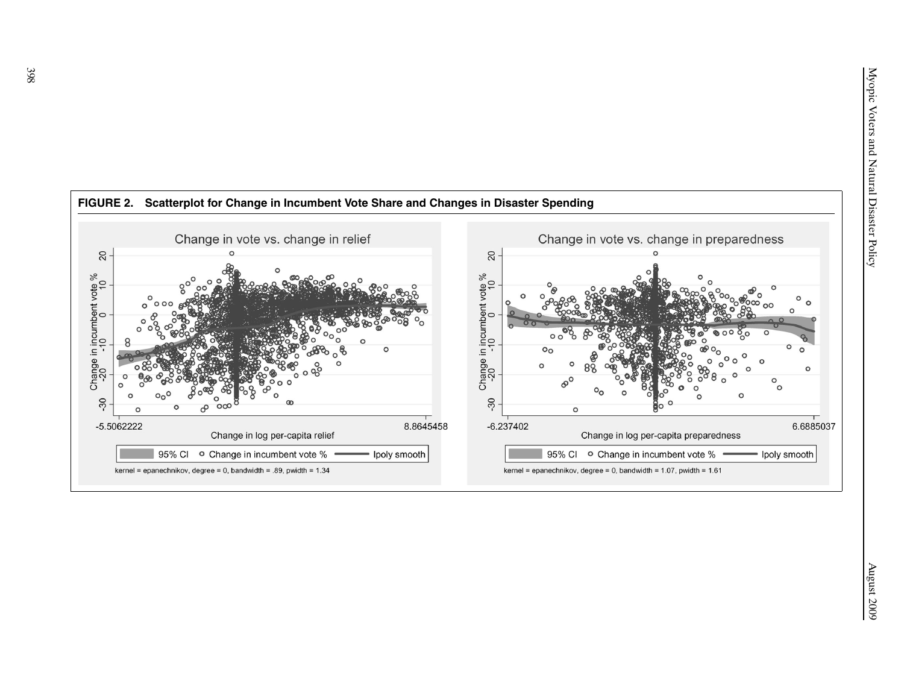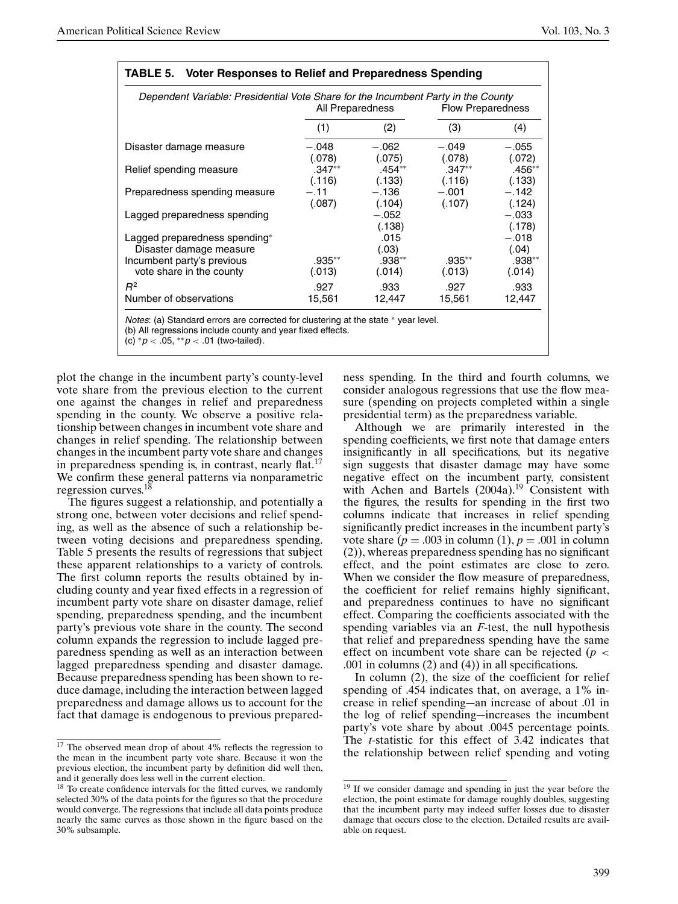| Dependent Variable: Presidential Vote Share for the Incumbent Party in the County | All Preparedness |                   | <b>Flow Preparedness</b> |                   |  |
|-----------------------------------------------------------------------------------|------------------|-------------------|--------------------------|-------------------|--|
|                                                                                   | (1)              | (2)               | (3)                      | (4)               |  |
| Disaster damage measure                                                           | $-.048$          | $-.062$           | $-.049$                  | $-.055$           |  |
|                                                                                   | (.078)           | (.075)            | (.078)                   | (.072)            |  |
| Relief spending measure                                                           | $.347**$         | $.454**$          | $.347**$                 | $.456**$          |  |
|                                                                                   | (.116)           | (.133)            | (.116)                   | (.133)            |  |
| Preparedness spending measure                                                     | $-.11$           | $-.136$           | $-.001$                  | $-.142$           |  |
|                                                                                   | (.087)           | (.104)            | (.107)                   | (.124)            |  |
| Lagged preparedness spending                                                      |                  | $-.052$<br>(.138) |                          | $-.033$<br>(.178) |  |
| Lagged preparedness spending*<br>Disaster damage measure                          |                  | .015<br>(.03)     |                          | $-.018$<br>(.04)  |  |
| Incumbent party's previous                                                        | $.935***$        | $.938**$          | $.935***$                | $.938**$          |  |
| vote share in the county                                                          | (.013)           | (.014)            | (.013)                   | (.014)            |  |
| $R^2$                                                                             | .927             | .933              | .927                     | .933              |  |
| Number of observations                                                            | 15,561           | 12,447            | 15,561                   | 12,447            |  |

Notes: (a) Standard errors are corrected for clustering at the state ∗ year level.

(c) ∗p *<* .05, ∗∗p *<* .01 (two-tailed).

plot the change in the incumbent party's county-level vote share from the previous election to the current one against the changes in relief and preparedness spending in the county. We observe a positive relationship between changes in incumbent vote share and changes in relief spending. The relationship between changes in the incumbent party vote share and changes in preparedness spending is, in contrast, nearly flat. $17$ We confirm these general patterns via nonparametric regression curves.<sup>18</sup>

The figures suggest a relationship, and potentially a strong one, between voter decisions and relief spending, as well as the absence of such a relationship between voting decisions and preparedness spending. Table 5 presents the results of regressions that subject these apparent relationships to a variety of controls. The first column reports the results obtained by including county and year fixed effects in a regression of incumbent party vote share on disaster damage, relief spending, preparedness spending, and the incumbent party's previous vote share in the county. The second column expands the regression to include lagged preparedness spending as well as an interaction between lagged preparedness spending and disaster damage. Because preparedness spending has been shown to reduce damage, including the interaction between lagged preparedness and damage allows us to account for the fact that damage is endogenous to previous preparedness spending. In the third and fourth columns, we consider analogous regressions that use the flow measure (spending on projects completed within a single presidential term) as the preparedness variable.

Although we are primarily interested in the spending coefficients, we first note that damage enters insignificantly in all specifications, but its negative sign suggests that disaster damage may have some negative effect on the incumbent party, consistent with Achen and Bartels  $(2004a).<sup>19</sup>$  Consistent with the figures, the results for spending in the first two columns indicate that increases in relief spending significantly predict increases in the incumbent party's vote share  $(p = .003$  in column  $(1), p = .001$  in column (2)), whereas preparedness spending has no significant effect, and the point estimates are close to zero. When we consider the flow measure of preparedness, the coefficient for relief remains highly significant, and preparedness continues to have no significant effect. Comparing the coefficients associated with the spending variables via an *F*-test, the null hypothesis that relief and preparedness spending have the same effect on incumbent vote share can be rejected (*p <* .001 in columns (2) and (4)) in all specifications.

In column (2), the size of the coefficient for relief spending of .454 indicates that, on average, a 1% increase in relief spending—an increase of about .01 in the log of relief spending—increases the incumbent party's vote share by about .0045 percentage points. The *t*-statistic for this effect of 3.42 indicates that the relationship between relief spending and voting

<sup>(</sup>b) All regressions include county and year fixed effects.

<sup>17</sup> The observed mean drop of about 4% reflects the regression to the mean in the incumbent party vote share. Because it won the previous election, the incumbent party by definition did well then, and it generally does less well in the current election.

<sup>&</sup>lt;sup>18</sup> To create confidence intervals for the fitted curves, we randomly selected 30% of the data points for the figures so that the procedure would converge. The regressions that include all data points produce nearly the same curves as those shown in the figure based on the 30% subsample.

<sup>&</sup>lt;sup>19</sup> If we consider damage and spending in just the year before the election, the point estimate for damage roughly doubles, suggesting that the incumbent party may indeed suffer losses due to disaster damage that occurs close to the election. Detailed results are available on request.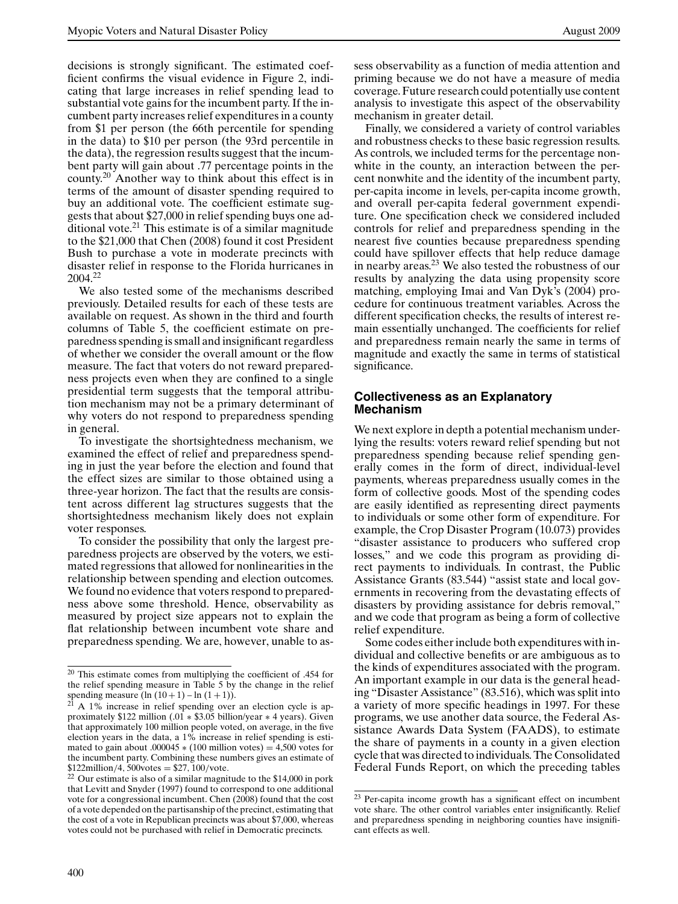decisions is strongly significant. The estimated coefficient confirms the visual evidence in Figure 2, indicating that large increases in relief spending lead to substantial vote gains for the incumbent party. If the incumbent party increases relief expenditures in a county from \$1 per person (the 66th percentile for spending in the data) to \$10 per person (the 93rd percentile in the data), the regression results suggest that the incumbent party will gain about .77 percentage points in the county.<sup>20</sup> Another way to think about this effect is in terms of the amount of disaster spending required to buy an additional vote. The coefficient estimate suggests that about \$27,000 in relief spending buys one additional vote.<sup>21</sup> This estimate is of a similar magnitude to the \$21,000 that Chen (2008) found it cost President Bush to purchase a vote in moderate precincts with disaster relief in response to the Florida hurricanes in 2004.<sup>22</sup>

We also tested some of the mechanisms described previously. Detailed results for each of these tests are available on request. As shown in the third and fourth columns of Table 5, the coefficient estimate on preparedness spending is small and insignificant regardless of whether we consider the overall amount or the flow measure. The fact that voters do not reward preparedness projects even when they are confined to a single presidential term suggests that the temporal attribution mechanism may not be a primary determinant of why voters do not respond to preparedness spending in general.

To investigate the shortsightedness mechanism, we examined the effect of relief and preparedness spending in just the year before the election and found that the effect sizes are similar to those obtained using a three-year horizon. The fact that the results are consistent across different lag structures suggests that the shortsightedness mechanism likely does not explain voter responses.

To consider the possibility that only the largest preparedness projects are observed by the voters, we estimated regressions that allowed for nonlinearities in the relationship between spending and election outcomes. We found no evidence that voters respond to preparedness above some threshold. Hence, observability as measured by project size appears not to explain the flat relationship between incumbent vote share and preparedness spending. We are, however, unable to as-

Finally, we considered a variety of control variables and robustness checks to these basic regression results. As controls, we included terms for the percentage nonwhite in the county, an interaction between the percent nonwhite and the identity of the incumbent party, per-capita income in levels, per-capita income growth, and overall per-capita federal government expenditure. One specification check we considered included controls for relief and preparedness spending in the nearest five counties because preparedness spending could have spillover effects that help reduce damage in nearby areas.<sup>23</sup> We also tested the robustness of our results by analyzing the data using propensity score matching, employing Imai and Van Dyk's (2004) procedure for continuous treatment variables. Across the different specification checks, the results of interest remain essentially unchanged. The coefficients for relief and preparedness remain nearly the same in terms of magnitude and exactly the same in terms of statistical significance.

#### **Collectiveness as an Explanatory Mechanism**

We next explore in depth a potential mechanism underlying the results: voters reward relief spending but not preparedness spending because relief spending generally comes in the form of direct, individual-level payments, whereas preparedness usually comes in the form of collective goods. Most of the spending codes are easily identified as representing direct payments to individuals or some other form of expenditure. For example, the Crop Disaster Program (10.073) provides "disaster assistance to producers who suffered crop losses," and we code this program as providing direct payments to individuals. In contrast, the Public Assistance Grants (83.544) "assist state and local governments in recovering from the devastating effects of disasters by providing assistance for debris removal," and we code that program as being a form of collective relief expenditure.

Some codes either include both expenditures with individual and collective benefits or are ambiguous as to the kinds of expenditures associated with the program. An important example in our data is the general heading "Disaster Assistance" (83.516), which was split into a variety of more specific headings in 1997. For these programs, we use another data source, the Federal Assistance Awards Data System (FAADS), to estimate the share of payments in a county in a given election cycle that was directed to individuals. The Consolidated Federal Funds Report, on which the preceding tables

<sup>20</sup> This estimate comes from multiplying the coefficient of .454 for the relief spending measure in Table 5 by the change in the relief

spending measure (ln  $(10+1)$  – ln  $(1+1)$ ).<br><sup>21</sup> A 1% increase in relief spending over an election cycle is approximately \$122 million (.01 ∗ \$3.05 billion/year ∗ 4 years). Given that approximately 100 million people voted, on average, in the five election years in the data, a 1% increase in relief spending is estimated to gain about .000045  $*(100$  million votes) = 4,500 votes for the incumbent party. Combining these numbers gives an estimate of

<sup>\$122</sup>million*/*4*,* 500votes <sup>=</sup> \$27*,* <sup>100</sup>*/*vote*.* <sup>22</sup> Our estimate is also of a similar magnitude to the \$14,000 in pork that Levitt and Snyder (1997) found to correspond to one additional vote for a congressional incumbent. Chen (2008) found that the cost of a vote depended on the partisanship of the precinct, estimating that the cost of a vote in Republican precincts was about \$7,000, whereas votes could not be purchased with relief in Democratic precincts.

<sup>23</sup> Per-capita income growth has a significant effect on incumbent vote share. The other control variables enter insignificantly. Relief and preparedness spending in neighboring counties have insignificant effects as well.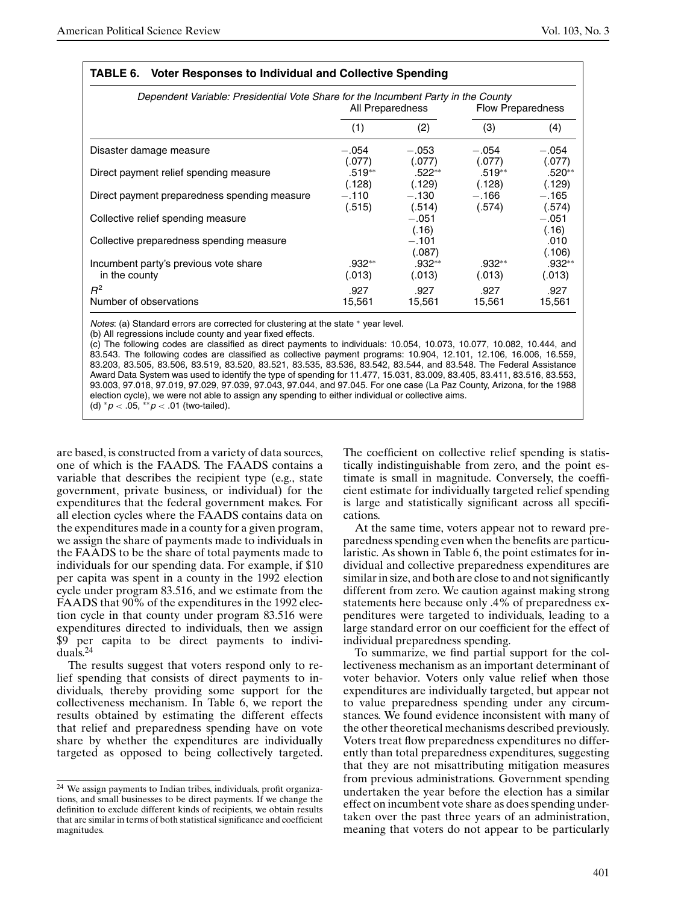### **TABLE 6. Voter Responses to Individual and Collective Spending**

| Dependent Variable: Presidential Vote Share for the Incumbent Party in the County | All Preparedness   |                    | <b>Flow Preparedness</b> |                    |  |
|-----------------------------------------------------------------------------------|--------------------|--------------------|--------------------------|--------------------|--|
|                                                                                   | (1)                | (2)                | (3)                      | (4)                |  |
| Disaster damage measure                                                           | $-.054$<br>(.077)  | $-.053$<br>(.077)  | $-.054$<br>(.077)        | $-.054$<br>(.077)  |  |
| Direct payment relief spending measure                                            | $.519**$<br>(.128) | $.522**$<br>(.129) | $.519**$<br>(.128)       | .520**<br>(.129)   |  |
| Direct payment preparedness spending measure                                      | $-.110$<br>(.515)  | $-.130$<br>(.514)  | $-.166$<br>(.574)        | $-.165$<br>(.574)  |  |
| Collective relief spending measure                                                |                    | $-.051$<br>(.16)   |                          | $-.051$<br>(.16)   |  |
| Collective preparedness spending measure                                          |                    | $-.101$<br>(.087)  |                          | .010<br>(.106)     |  |
| Incumbent party's previous vote share<br>in the county                            | $.932**$<br>(.013) | $.932**$<br>(.013) | $.932**$<br>(.013)       | $.932**$<br>(.013) |  |
| $R^2$                                                                             | .927               | .927               | .927                     | .927               |  |
| Number of observations                                                            | 15,561             | 15,561             | 15,561                   | 15,561             |  |

Notes: (a) Standard errors are corrected for clustering at the state ∗ year level.

(b) All regressions include county and year fixed effects.

(c) The following codes are classified as direct payments to individuals: 10.054, 10.073, 10.077, 10.082, 10.444, and 83.543. The following codes are classified as collective payment programs: 10.904, 12.101, 12.106, 16.006, 16.559, 83.203, 83.505, 83.506, 83.519, 83.520, 83.521, 83.535, 83.536, 83.542, 83.544, and 83.548. The Federal Assistance Award Data System was used to identify the type of spending for 11.477, 15.031, 83.009, 83.405, 83.411, 83.516, 83.553, 93.003, 97.018, 97.019, 97.029, 97.039, 97.043, 97.044, and 97.045. For one case (La Paz County, Arizona, for the 1988 election cycle), we were not able to assign any spending to either individual or collective aims. (d) ∗p *<* .05, ∗∗p *<* .01 (two-tailed).

are based, is constructed from a variety of data sources, one of which is the FAADS. The FAADS contains a variable that describes the recipient type (e.g., state government, private business, or individual) for the expenditures that the federal government makes. For all election cycles where the FAADS contains data on the expenditures made in a county for a given program, we assign the share of payments made to individuals in the FAADS to be the share of total payments made to individuals for our spending data. For example, if \$10 per capita was spent in a county in the 1992 election cycle under program 83.516, and we estimate from the FAADS that 90% of the expenditures in the 1992 election cycle in that county under program 83.516 were expenditures directed to individuals, then we assign \$9 per capita to be direct payments to individuals.<sup>24</sup>

The results suggest that voters respond only to relief spending that consists of direct payments to individuals, thereby providing some support for the collectiveness mechanism. In Table 6, we report the results obtained by estimating the different effects that relief and preparedness spending have on vote share by whether the expenditures are individually targeted as opposed to being collectively targeted.

The coefficient on collective relief spending is statistically indistinguishable from zero, and the point estimate is small in magnitude. Conversely, the coefficient estimate for individually targeted relief spending is large and statistically significant across all specifications.

At the same time, voters appear not to reward preparedness spending even when the benefits are particularistic. As shown in Table 6, the point estimates for individual and collective preparedness expenditures are similar in size, and both are close to and not significantly different from zero. We caution against making strong statements here because only .4% of preparedness expenditures were targeted to individuals, leading to a large standard error on our coefficient for the effect of individual preparedness spending.

To summarize, we find partial support for the collectiveness mechanism as an important determinant of voter behavior. Voters only value relief when those expenditures are individually targeted, but appear not to value preparedness spending under any circumstances. We found evidence inconsistent with many of the other theoretical mechanisms described previously. Voters treat flow preparedness expenditures no differently than total preparedness expenditures, suggesting that they are not misattributing mitigation measures from previous administrations. Government spending undertaken the year before the election has a similar effect on incumbent vote share as does spending undertaken over the past three years of an administration, meaning that voters do not appear to be particularly

<sup>24</sup> We assign payments to Indian tribes, individuals, profit organizations, and small businesses to be direct payments. If we change the definition to exclude different kinds of recipients, we obtain results that are similar in terms of both statistical significance and coefficient magnitudes.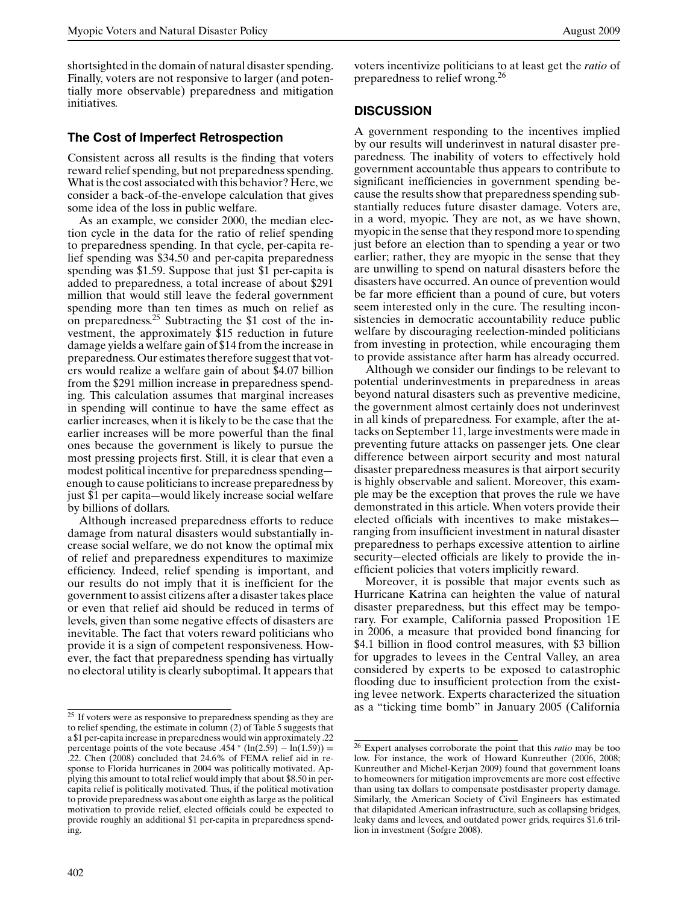shortsighted in the domain of natural disaster spending. Finally, voters are not responsive to larger (and potentially more observable) preparedness and mitigation initiatives.

# **The Cost of Imperfect Retrospection**

Consistent across all results is the finding that voters reward relief spending, but not preparedness spending. What is the cost associated with this behavior? Here, we consider a back-of-the-envelope calculation that gives some idea of the loss in public welfare.

As an example, we consider 2000, the median election cycle in the data for the ratio of relief spending to preparedness spending. In that cycle, per-capita relief spending was \$34.50 and per-capita preparedness spending was \$1.59. Suppose that just \$1 per-capita is added to preparedness, a total increase of about \$291 million that would still leave the federal government spending more than ten times as much on relief as on preparedness.25 Subtracting the \$1 cost of the investment, the approximately \$15 reduction in future damage yields a welfare gain of \$14 from the increase in preparedness. Our estimates therefore suggest that voters would realize a welfare gain of about \$4.07 billion from the \$291 million increase in preparedness spending. This calculation assumes that marginal increases in spending will continue to have the same effect as earlier increases, when it is likely to be the case that the earlier increases will be more powerful than the final ones because the government is likely to pursue the most pressing projects first. Still, it is clear that even a modest political incentive for preparedness spending enough to cause politicians to increase preparedness by just \$1 per capita—would likely increase social welfare by billions of dollars.

Although increased preparedness efforts to reduce damage from natural disasters would substantially increase social welfare, we do not know the optimal mix of relief and preparedness expenditures to maximize efficiency. Indeed, relief spending is important, and our results do not imply that it is inefficient for the government to assist citizens after a disaster takes place or even that relief aid should be reduced in terms of levels, given than some negative effects of disasters are inevitable. The fact that voters reward politicians who provide it is a sign of competent responsiveness. However, the fact that preparedness spending has virtually no electoral utility is clearly suboptimal. It appears that voters incentivize politicians to at least get the *ratio* of preparedness to relief wrong.<sup>26</sup>

# **DISCUSSION**

A government responding to the incentives implied by our results will underinvest in natural disaster preparedness. The inability of voters to effectively hold government accountable thus appears to contribute to significant inefficiencies in government spending because the results show that preparedness spending substantially reduces future disaster damage. Voters are, in a word, myopic. They are not, as we have shown, myopic in the sense that they respond more to spending just before an election than to spending a year or two earlier; rather, they are myopic in the sense that they are unwilling to spend on natural disasters before the disasters have occurred. An ounce of prevention would be far more efficient than a pound of cure, but voters seem interested only in the cure. The resulting inconsistencies in democratic accountability reduce public welfare by discouraging reelection-minded politicians from investing in protection, while encouraging them to provide assistance after harm has already occurred.

Although we consider our findings to be relevant to potential underinvestments in preparedness in areas beyond natural disasters such as preventive medicine, the government almost certainly does not underinvest in all kinds of preparedness. For example, after the attacks on September 11, large investments were made in preventing future attacks on passenger jets. One clear difference between airport security and most natural disaster preparedness measures is that airport security is highly observable and salient. Moreover, this example may be the exception that proves the rule we have demonstrated in this article. When voters provide their elected officials with incentives to make mistakes ranging from insufficient investment in natural disaster preparedness to perhaps excessive attention to airline security—elected officials are likely to provide the inefficient policies that voters implicitly reward.

Moreover, it is possible that major events such as Hurricane Katrina can heighten the value of natural disaster preparedness, but this effect may be temporary. For example, California passed Proposition 1E in 2006, a measure that provided bond financing for \$4.1 billion in flood control measures, with \$3 billion for upgrades to levees in the Central Valley, an area considered by experts to be exposed to catastrophic flooding due to insufficient protection from the existing levee network. Experts characterized the situation as a "ticking time bomb" in January 2005 (California

<sup>&</sup>lt;sup>25</sup> If voters were as responsive to preparedness spending as they are to relief spending, the estimate in column (2) of Table 5 suggests that a \$1 per-capita increase in preparedness would win approximately .22 percentage points of the vote because .454 \*  $(ln(2.59) – ln(1.59)) =$ .22. Chen (2008) concluded that 24.6% of FEMA relief aid in response to Florida hurricanes in 2004 was politically motivated. Applying this amount to total relief would imply that about \$8.50 in percapita relief is politically motivated. Thus, if the political motivation to provide preparedness was about one eighth as large as the political motivation to provide relief, elected officials could be expected to provide roughly an additional \$1 per-capita in preparedness spending.

<sup>26</sup> Expert analyses corroborate the point that this *ratio* may be too low. For instance, the work of Howard Kunreuther (2006, 2008; Kunreuther and Michel-Kerjan 2009) found that government loans to homeowners for mitigation improvements are more cost effective than using tax dollars to compensate postdisaster property damage. Similarly, the American Society of Civil Engineers has estimated that dilapidated American infrastructure, such as collapsing bridges, leaky dams and levees, and outdated power grids, requires \$1.6 trillion in investment (Sofgre 2008).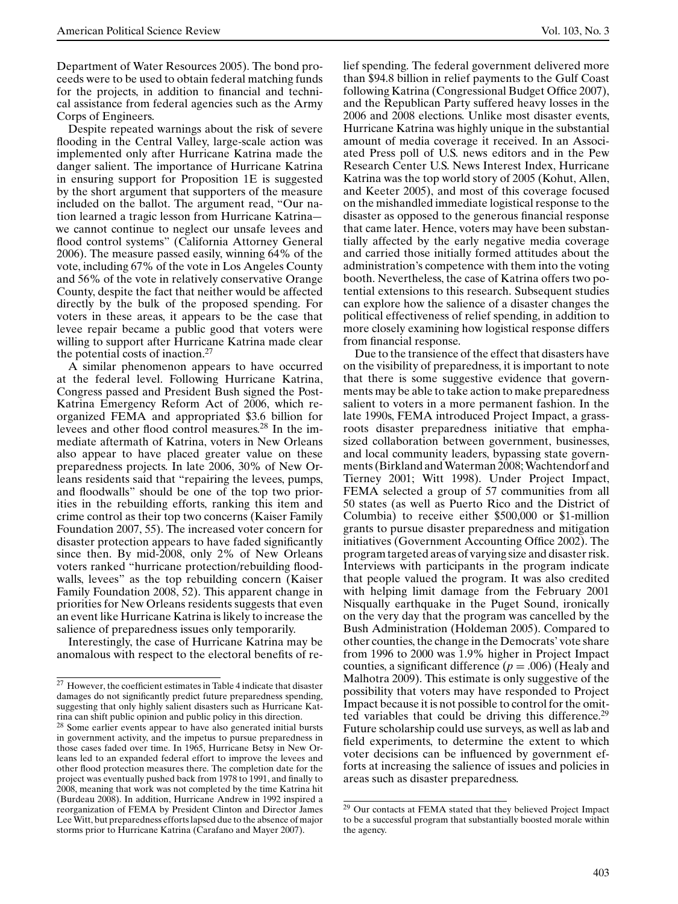Department of Water Resources 2005). The bond proceeds were to be used to obtain federal matching funds for the projects, in addition to financial and technical assistance from federal agencies such as the Army Corps of Engineers.

Despite repeated warnings about the risk of severe flooding in the Central Valley, large-scale action was implemented only after Hurricane Katrina made the danger salient. The importance of Hurricane Katrina in ensuring support for Proposition 1E is suggested by the short argument that supporters of the measure included on the ballot. The argument read, "Our nation learned a tragic lesson from Hurricane Katrina we cannot continue to neglect our unsafe levees and flood control systems" (California Attorney General 2006). The measure passed easily, winning 64% of the vote, including 67% of the vote in Los Angeles County and 56% of the vote in relatively conservative Orange County, despite the fact that neither would be affected directly by the bulk of the proposed spending. For voters in these areas, it appears to be the case that levee repair became a public good that voters were willing to support after Hurricane Katrina made clear the potential costs of inaction.27

A similar phenomenon appears to have occurred at the federal level. Following Hurricane Katrina, Congress passed and President Bush signed the Post-Katrina Emergency Reform Act of 2006, which reorganized FEMA and appropriated \$3.6 billion for levees and other flood control measures.<sup>28</sup> In the immediate aftermath of Katrina, voters in New Orleans also appear to have placed greater value on these preparedness projects. In late 2006, 30% of New Orleans residents said that "repairing the levees, pumps, and floodwalls" should be one of the top two priorities in the rebuilding efforts, ranking this item and crime control as their top two concerns (Kaiser Family Foundation 2007, 55). The increased voter concern for disaster protection appears to have faded significantly since then. By mid-2008, only 2% of New Orleans voters ranked "hurricane protection/rebuilding floodwalls, levees" as the top rebuilding concern (Kaiser Family Foundation 2008, 52). This apparent change in priorities for New Orleans residents suggests that even an event like Hurricane Katrina is likely to increase the salience of preparedness issues only temporarily.

Interestingly, the case of Hurricane Katrina may be anomalous with respect to the electoral benefits of relief spending. The federal government delivered more than \$94.8 billion in relief payments to the Gulf Coast following Katrina (Congressional Budget Office 2007), and the Republican Party suffered heavy losses in the 2006 and 2008 elections. Unlike most disaster events, Hurricane Katrina was highly unique in the substantial amount of media coverage it received. In an Associated Press poll of U.S. news editors and in the Pew Research Center U.S. News Interest Index, Hurricane Katrina was the top world story of 2005 (Kohut, Allen, and Keeter 2005), and most of this coverage focused on the mishandled immediate logistical response to the disaster as opposed to the generous financial response that came later. Hence, voters may have been substantially affected by the early negative media coverage and carried those initially formed attitudes about the administration's competence with them into the voting booth. Nevertheless, the case of Katrina offers two potential extensions to this research. Subsequent studies can explore how the salience of a disaster changes the political effectiveness of relief spending, in addition to more closely examining how logistical response differs from financial response.

Due to the transience of the effect that disasters have on the visibility of preparedness, it is important to note that there is some suggestive evidence that governments may be able to take action to make preparedness salient to voters in a more permanent fashion. In the late 1990s, FEMA introduced Project Impact, a grassroots disaster preparedness initiative that emphasized collaboration between government, businesses, and local community leaders, bypassing state governments (Birkland and Waterman 2008; Wachtendorf and Tierney 2001; Witt 1998). Under Project Impact, FEMA selected a group of 57 communities from all 50 states (as well as Puerto Rico and the District of Columbia) to receive either \$500,000 or \$1-million grants to pursue disaster preparedness and mitigation initiatives (Government Accounting Office 2002). The program targeted areas of varying size and disaster risk. Interviews with participants in the program indicate that people valued the program. It was also credited with helping limit damage from the February 2001 Nisqually earthquake in the Puget Sound, ironically on the very day that the program was cancelled by the Bush Administration (Holdeman 2005). Compared to other counties, the change in the Democrats' vote share from 1996 to 2000 was 1.9% higher in Project Impact counties, a significant difference  $(p = .006)$  (Healy and Malhotra 2009). This estimate is only suggestive of the possibility that voters may have responded to Project Impact because it is not possible to control for the omitted variables that could be driving this difference.<sup>29</sup> Future scholarship could use surveys, as well as lab and field experiments, to determine the extent to which voter decisions can be influenced by government efforts at increasing the salience of issues and policies in areas such as disaster preparedness.

 $27$  However, the coefficient estimates in Table 4 indicate that disaster damages do not significantly predict future preparedness spending, suggesting that only highly salient disasters such as Hurricane Katrina can shift public opinion and public policy in this direction.

<sup>28</sup> Some earlier events appear to have also generated initial bursts in government activity, and the impetus to pursue preparedness in those cases faded over time. In 1965, Hurricane Betsy in New Orleans led to an expanded federal effort to improve the levees and other flood protection measures there. The completion date for the project was eventually pushed back from 1978 to 1991, and finally to 2008, meaning that work was not completed by the time Katrina hit (Burdeau 2008). In addition, Hurricane Andrew in 1992 inspired a reorganization of FEMA by President Clinton and Director James LeeWitt, but preparedness efforts lapsed due to the absence of major storms prior to Hurricane Katrina (Carafano and Mayer 2007).

<sup>29</sup> Our contacts at FEMA stated that they believed Project Impact to be a successful program that substantially boosted morale within the agency.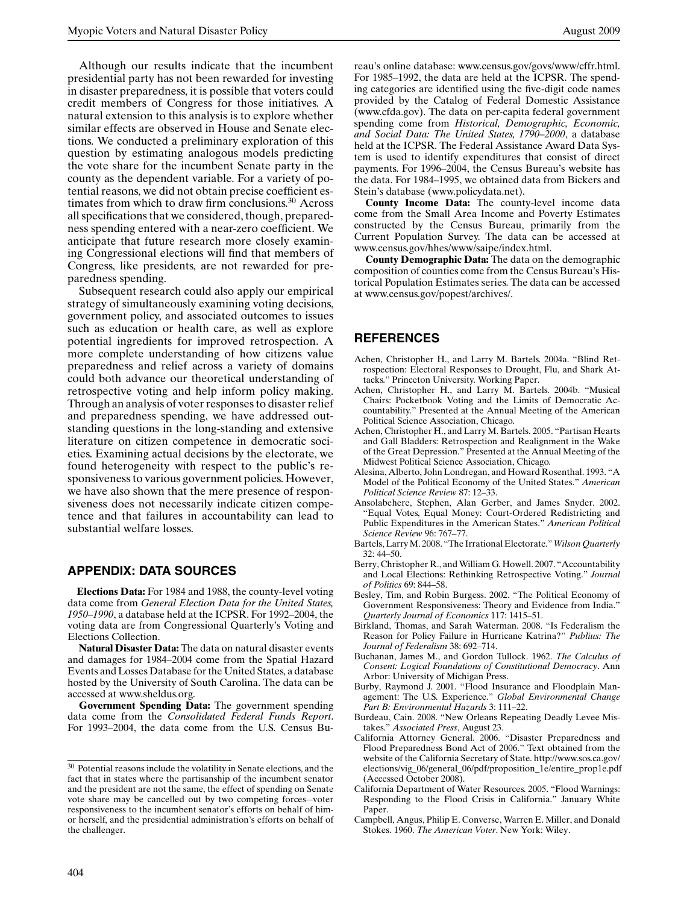Although our results indicate that the incumbent presidential party has not been rewarded for investing in disaster preparedness, it is possible that voters could credit members of Congress for those initiatives. A natural extension to this analysis is to explore whether similar effects are observed in House and Senate elections. We conducted a preliminary exploration of this question by estimating analogous models predicting the vote share for the incumbent Senate party in the county as the dependent variable. For a variety of potential reasons, we did not obtain precise coefficient estimates from which to draw firm conclusions.<sup>30</sup> Across all specifications that we considered, though, preparedness spending entered with a near-zero coefficient. We anticipate that future research more closely examining Congressional elections will find that members of Congress, like presidents, are not rewarded for preparedness spending.

Subsequent research could also apply our empirical strategy of simultaneously examining voting decisions, government policy, and associated outcomes to issues such as education or health care, as well as explore potential ingredients for improved retrospection. A more complete understanding of how citizens value preparedness and relief across a variety of domains could both advance our theoretical understanding of retrospective voting and help inform policy making. Through an analysis of voter responses to disaster relief and preparedness spending, we have addressed outstanding questions in the long-standing and extensive literature on citizen competence in democratic societies. Examining actual decisions by the electorate, we found heterogeneity with respect to the public's responsiveness to various government policies. However, we have also shown that the mere presence of responsiveness does not necessarily indicate citizen competence and that failures in accountability can lead to substantial welfare losses.

#### **APPENDIX: DATA SOURCES**

**Elections Data:** For 1984 and 1988, the county-level voting data come from *General Election Data for the United States, 1950–1990*, a database held at the ICPSR. For 1992–2004, the voting data are from Congressional Quarterly's Voting and Elections Collection.

**Natural Disaster Data:** The data on natural disaster events and damages for 1984–2004 come from the Spatial Hazard Events and Losses Database for the United States, a database hosted by the University of South Carolina. The data can be accessed at www.sheldus.org.

**Government Spending Data:** The government spending data come from the *Consolidated Federal Funds Report*. For 1993–2004, the data come from the U.S. Census Bureau's online database: www.census.gov/govs/www/cffr.html. For 1985–1992, the data are held at the ICPSR. The spending categories are identified using the five-digit code names provided by the Catalog of Federal Domestic Assistance (www.cfda.gov). The data on per-capita federal government spending come from *Historical, Demographic, Economic, and Social Data: The United States, 1790–2000*, a database held at the ICPSR. The Federal Assistance Award Data System is used to identify expenditures that consist of direct payments. For 1996–2004, the Census Bureau's website has the data. For 1984–1995, we obtained data from Bickers and Stein's database (www.policydata.net).

**County Income Data:** The county-level income data come from the Small Area Income and Poverty Estimates constructed by the Census Bureau, primarily from the Current Population Survey. The data can be accessed at www.census.gov/hhes/www/saipe/index.html.

**County Demographic Data:** The data on the demographic composition of counties come from the Census Bureau's Historical Population Estimates series. The data can be accessed at www.census.gov/popest/archives/.

#### **REFERENCES**

- Achen, Christopher H., and Larry M. Bartels. 2004a. "Blind Retrospection: Electoral Responses to Drought, Flu, and Shark Attacks." Princeton University. Working Paper.
- Achen, Christopher H., and Larry M. Bartels. 2004b. "Musical Chairs: Pocketbook Voting and the Limits of Democratic Accountability." Presented at the Annual Meeting of the American Political Science Association, Chicago.
- Achen, Christopher H., and Larry M. Bartels. 2005. "Partisan Hearts and Gall Bladders: Retrospection and Realignment in the Wake of the Great Depression." Presented at the Annual Meeting of the Midwest Political Science Association, Chicago.
- Alesina, Alberto, John Londregan, and Howard Rosenthal. 1993. "A Model of the Political Economy of the United States." *American Political Science Review* 87: 12–33.
- Ansolabehere, Stephen, Alan Gerber, and James Snyder. 2002. "Equal Votes, Equal Money: Court-Ordered Redistricting and Public Expenditures in the American States." *American Political Science Review* 96: 767–77.
- Bartels, LarryM. 2008. "The Irrational Electorate."*Wilson Quarterly* 32: 44–50.
- Berry, Christopher R., and William G. Howell. 2007. "Accountability and Local Elections: Rethinking Retrospective Voting." *Journal of Politics* 69: 844–58.
- Besley, Tim, and Robin Burgess. 2002. "The Political Economy of Government Responsiveness: Theory and Evidence from India." *Quarterly Journal of Economics* 117: 1415–51.
- Birkland, Thomas, and Sarah Waterman. 2008. "Is Federalism the Reason for Policy Failure in Hurricane Katrina?" *Publius: The Journal of Federalism* 38: 692–714.
- Buchanan, James M., and Gordon Tullock. 1962. *The Calculus of Consent: Logical Foundations of Constitutional Democracy*. Ann Arbor: University of Michigan Press.
- Burby, Raymond J. 2001. "Flood Insurance and Floodplain Management: The U.S. Experience." *Global Environmental Change Part B: Environmental Hazards* 3: 111–22.
- Burdeau, Cain. 2008. "New Orleans Repeating Deadly Levee Mistakes." *Associated Press*, August 23.
- California Attorney General. 2006. "Disaster Preparedness and Flood Preparedness Bond Act of 2006." Text obtained from the website of the California Secretary of State. http://www.sos.ca.gov/ elections/vig\_06/general\_06/pdf/proposition\_1e/entire\_prop1e.pdf (Accessed October 2008).
- California Department of Water Resources. 2005. "Flood Warnings: Responding to the Flood Crisis in California." January White Paper.
- Campbell, Angus, Philip E. Converse, Warren E. Miller, and Donald Stokes. 1960. *The American Voter*. New York: Wiley.

<sup>30</sup> Potential reasons include the volatility in Senate elections, and the fact that in states where the partisanship of the incumbent senator and the president are not the same, the effect of spending on Senate vote share may be cancelled out by two competing forces—voter responsiveness to the incumbent senator's efforts on behalf of himor herself, and the presidential administration's efforts on behalf of the challenger.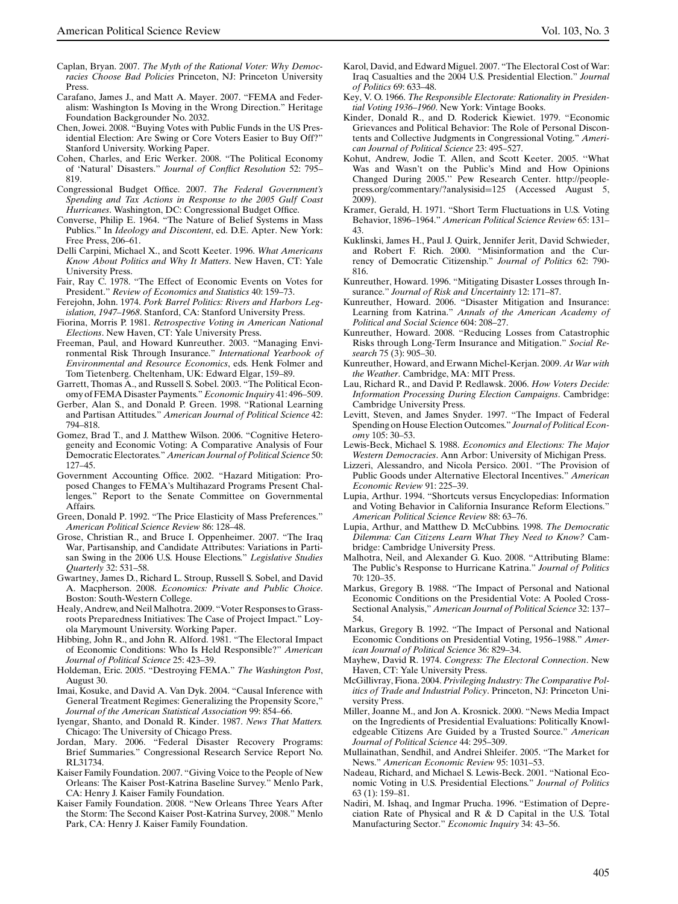- Caplan, Bryan. 2007. *The Myth of the Rational Voter: Why Democracies Choose Bad Policies* Princeton, NJ: Princeton University Press.
- Carafano, James J., and Matt A. Mayer. 2007. "FEMA and Federalism: Washington Is Moving in the Wrong Direction." Heritage Foundation Backgrounder No. 2032.
- Chen, Jowei. 2008. "Buying Votes with Public Funds in the US Presidential Election: Are Swing or Core Voters Easier to Buy Off?" Stanford University. Working Paper.
- Cohen, Charles, and Eric Werker. 2008. "The Political Economy of 'Natural' Disasters." *Journal of Conflict Resolution* 52: 795– 819.
- Congressional Budget Office. 2007. *The Federal Government's Spending and Tax Actions in Response to the 2005 Gulf Coast Hurricanes*. Washington, DC: Congressional Budget Office.
- Converse, Philip E. 1964. "The Nature of Belief Systems in Mass Publics." In *Ideology and Discontent*, ed. D.E. Apter. New York: Free Press, 206–61.
- Delli Carpini, Michael X., and Scott Keeter. 1996. *What Americans Know About Politics and Why It Matters*. New Haven, CT: Yale University Press.
- Fair, Ray C. 1978. "The Effect of Economic Events on Votes for President." *Review of Economics and Statistics* 40: 159–73.
- Ferejohn, John. 1974. *Pork Barrel Politics: Rivers and Harbors Legislation, 1947–1968*. Stanford, CA: Stanford University Press.
- Fiorina, Morris P. 1981. *Retrospective Voting in American National Elections*. New Haven, CT: Yale University Press.
- Freeman, Paul, and Howard Kunreuther. 2003. "Managing Environmental Risk Through Insurance." *International Yearbook of Environmental and Resource Economics*, eds. Henk Folmer and Tom Tietenberg. Cheltenham, UK: Edward Elgar, 159–89.
- Garrett, Thomas A., and Russell S. Sobel. 2003. "The Political Economy of FEMA Disaster Payments." *Economic Inquiry* 41: 496–509.
- Gerber, Alan S., and Donald P. Green. 1998. "Rational Learning and Partisan Attitudes." *American Journal of Political Science* 42: 794–818.
- Gomez, Brad T., and J. Matthew Wilson. 2006. "Cognitive Heterogeneity and Economic Voting: A Comparative Analysis of Four Democratic Electorates." *American Journal of Political Science* 50: 127–45.
- Government Accounting Office. 2002. "Hazard Mitigation: Proposed Changes to FEMA's Multihazard Programs Present Challenges." Report to the Senate Committee on Governmental Affairs.
- Green, Donald P. 1992. "The Price Elasticity of Mass Preferences." *American Political Science Review* 86: 128–48.
- Grose, Christian R., and Bruce I. Oppenheimer. 2007. "The Iraq War, Partisanship, and Candidate Attributes: Variations in Partisan Swing in the 2006 U.S. House Elections." *Legislative Studies Quarterly* 32: 531–58.
- Gwartney, James D., Richard L. Stroup, Russell S. Sobel, and David A. Macpherson. 2008. *Economics: Private and Public Choice*. Boston: South-Western College.
- Healy, Andrew, and Neil Malhotra. 2009. "Voter Responses to Grassroots Preparedness Initiatives: The Case of Project Impact." Loyola Marymount University. Working Paper.
- Hibbing, John R., and John R. Alford. 1981. "The Electoral Impact of Economic Conditions: Who Is Held Responsible?" *American Journal of Political Science* 25: 423–39.
- Holdeman, Eric. 2005. "Destroying FEMA." *The Washington Post*, August 30.
- Imai, Kosuke, and David A. Van Dyk. 2004. "Causal Inference with General Treatment Regimes: Generalizing the Propensity Score," *Journal of the American Statistical Association* 99: 854–66.
- Iyengar, Shanto, and Donald R. Kinder. 1987. *News That Matters.* Chicago: The University of Chicago Press.
- Jordan, Mary. 2006. "Federal Disaster Recovery Programs: Brief Summaries." Congressional Research Service Report No. RL31734.
- Kaiser Family Foundation. 2007. "Giving Voice to the People of New Orleans: The Kaiser Post-Katrina Baseline Survey." Menlo Park, CA: Henry J. Kaiser Family Foundation.
- Kaiser Family Foundation. 2008. "New Orleans Three Years After the Storm: The Second Kaiser Post-Katrina Survey, 2008." Menlo Park, CA: Henry J. Kaiser Family Foundation.
- Karol, David, and Edward Miguel. 2007. "The Electoral Cost of War: Iraq Casualties and the 2004 U.S. Presidential Election." *Journal of Politics* 69: 633–48.
- Key, V. O. 1966. *The Responsible Electorate: Rationality in Presidential Voting 1936–1960*. New York: Vintage Books.
- Kinder, Donald R., and D. Roderick Kiewiet. 1979. "Economic Grievances and Political Behavior: The Role of Personal Discontents and Collective Judgments in Congressional Voting." *American Journal of Political Science* 23: 495–527.
- Kohut, Andrew, Jodie T. Allen, and Scott Keeter. 2005. ''What Was and Wasn't on the Public's Mind and How Opinions Changed During 2005.'' Pew Research Center. http://peoplepress.org/commentary/?analysisid=125 (Accessed August 5, 2009).
- Kramer, Gerald, H. 1971. "Short Term Fluctuations in U.S. Voting Behavior, 1896–1964." *American Political Science Review* 65: 131– 43.
- Kuklinski, James H., Paul J. Quirk, Jennifer Jerit, David Schwieder, and Robert F. Rich. 2000. "Misinformation and the Currency of Democratic Citizenship." *Journal of Politics* 62: 790- 816.
- Kunreuther, Howard. 1996. "Mitigating Disaster Losses through Insurance." *Journal of Risk and Uncertainty* 12: 171–87.
- Kunreuther, Howard. 2006. "Disaster Mitigation and Insurance: Learning from Katrina." *Annals of the American Academy of Political and Social Science* 604: 208–27.
- Kunreuther, Howard. 2008. "Reducing Losses from Catastrophic Risks through Long-Term Insurance and Mitigation." *Social Research* 75 (3): 905–30.
- Kunreuther, Howard, and Erwann Michel-Kerjan. 2009. *At War with the Weather*. Cambridge, MA: MIT Press.
- Lau, Richard R., and David P. Redlawsk. 2006. *How Voters Decide: Information Processing During Election Campaigns*. Cambridge: Cambridge University Press.
- Levitt, Steven, and James Snyder. 1997. "The Impact of Federal Spending on House Election Outcomes." *Journal of Political Economy* 105: 30–53.
- Lewis-Beck, Michael S. 1988. *Economics and Elections: The Major Western Democracies*. Ann Arbor: University of Michigan Press.
- Lizzeri, Alessandro, and Nicola Persico. 2001. "The Provision of Public Goods under Alternative Electoral Incentives." *American Economic Review* 91: 225–39.
- Lupia, Arthur. 1994. "Shortcuts versus Encyclopedias: Information and Voting Behavior in California Insurance Reform Elections." *American Political Science Review* 88: 63–76.
- Lupia, Arthur, and Matthew D. McCubbins. 1998. *The Democratic Dilemma: Can Citizens Learn What They Need to Know?* Cambridge: Cambridge University Press.
- Malhotra, Neil, and Alexander G. Kuo. 2008. "Attributing Blame: The Public's Response to Hurricane Katrina." *Journal of Politics* 70: 120–35.
- Markus, Gregory B. 1988. "The Impact of Personal and National Economic Conditions on the Presidential Vote: A Pooled Cross-Sectional Analysis," *American Journal of Political Science* 32: 137– 54.
- Markus, Gregory B. 1992. "The Impact of Personal and National Economic Conditions on Presidential Voting, 1956–1988." *American Journal of Political Science* 36: 829–34.
- Mayhew, David R. 1974. *Congress: The Electoral Connection*. New Haven, CT: Yale University Press.
- McGillivray, Fiona. 2004. *Privileging Industry: The Comparative Politics of Trade and Industrial Policy*. Princeton, NJ: Princeton University Press.
- Miller, Joanne M., and Jon A. Krosnick. 2000. "News Media Impact on the Ingredients of Presidential Evaluations: Politically Knowledgeable Citizens Are Guided by a Trusted Source." *American Journal of Political Science* 44: 295–309.
- Mullainathan, Sendhil, and Andrei Shleifer. 2005. "The Market for News." *American Economic Review* 95: 1031–53.
- Nadeau, Richard, and Michael S. Lewis-Beck. 2001. "National Economic Voting in U.S. Presidential Elections." *Journal of Politics* 63 (1): 159–81.
- Nadiri, M. Ishaq, and Ingmar Prucha. 1996. "Estimation of Depreciation Rate of Physical and R & D Capital in the U.S. Total Manufacturing Sector." *Economic Inquiry* 34: 43–56.